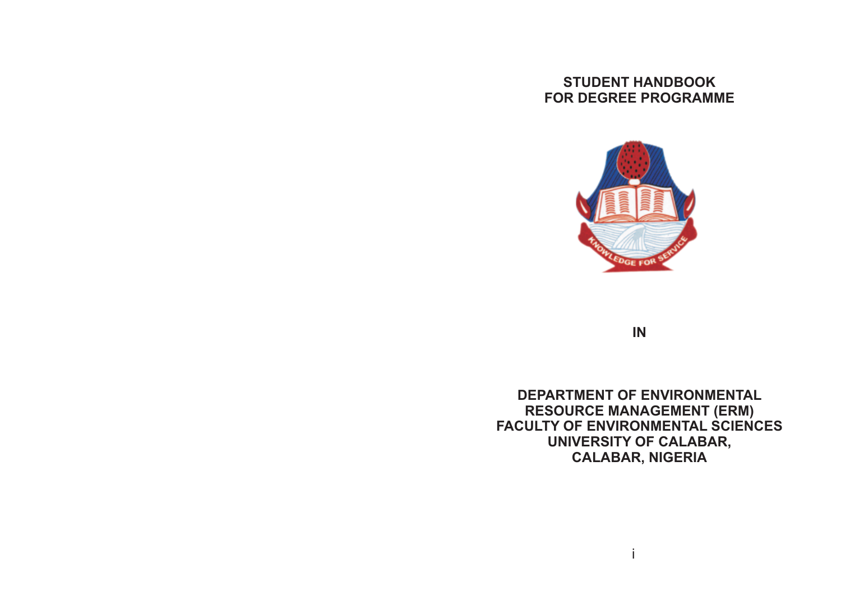# **STUDENT HANDBOOK FOR DEGREE PROGRAMME**



**IN**

**DEPARTMENT OF ENVIRONMENTAL RESOURCE MANAGEMENT (ERM) FACULTY OF ENVIRONMENTAL SCIENCES UNIVERSITY OF CALABAR, CALABAR, NIGERIA**

i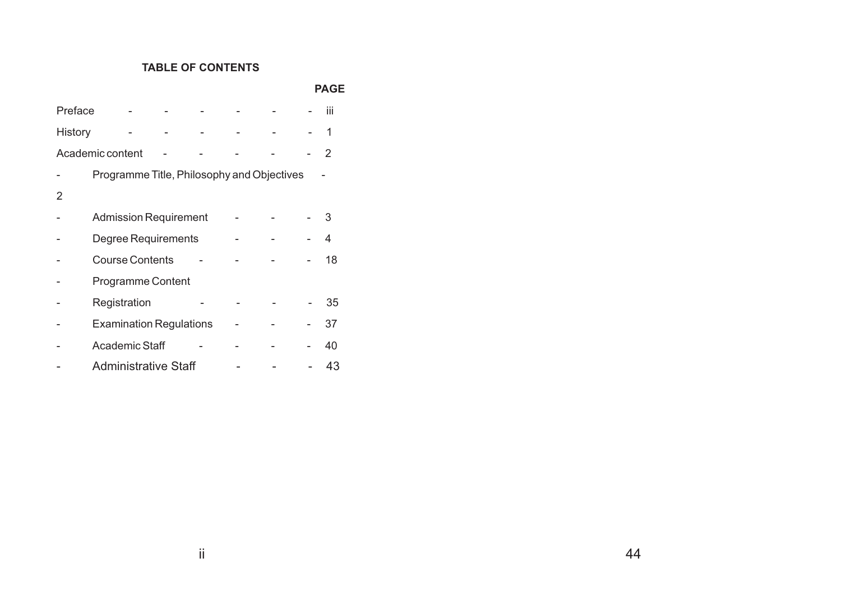# **TABLE OF CONTENTS**

#### **PAGE**

| Preface |                                            |  |  | iii |
|---------|--------------------------------------------|--|--|-----|
| History |                                            |  |  | 1   |
|         | Academic content                           |  |  | 2   |
|         | Programme Title, Philosophy and Objectives |  |  |     |
|         |                                            |  |  |     |
|         | <b>Admission Requirement</b>               |  |  | З   |
|         | Degree Requirements                        |  |  | 4   |
|         | <b>Course Contents</b>                     |  |  | 18  |
|         | <b>Programme Content</b>                   |  |  |     |
|         | Registration                               |  |  | 35  |
|         | <b>Examination Regulations</b>             |  |  | 37  |
|         | <b>Academic Staff</b>                      |  |  | 40  |
|         | <b>Administrative Staff</b>                |  |  | 43  |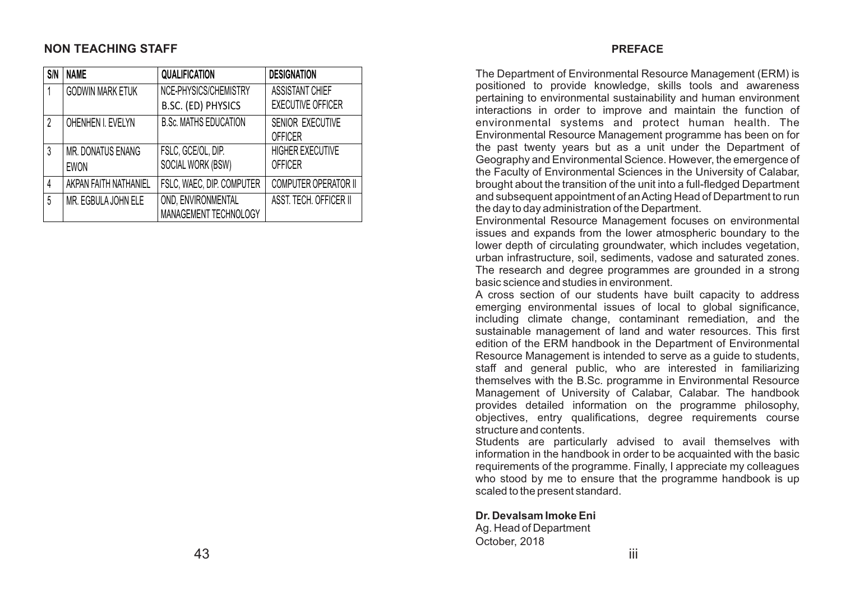### **NON TEACHING STAFF**

| <b>S/N</b> | <b>NAME</b>             | <b>QUALIFICATION</b>         | <b>DESIGNATION</b>          |
|------------|-------------------------|------------------------------|-----------------------------|
|            | <b>GODWIN MARK ETUK</b> | NCE-PHYSICS/CHEMISTRY        | <b>ASSISTANT CHIEF</b>      |
|            |                         | B.SC. (ED) PHYSICS           | <b>EXECUTIVE OFFICER</b>    |
| $\gamma$   | OHENHEN I. EVELYN       | <b>B.Sc. MATHS EDUCATION</b> | <b>SENIOR EXECUTIVE</b>     |
|            |                         |                              | <b>OFFICER</b>              |
| 3          | MR. DONATUS ENANG       | FSLC, GCE/OL, DIP.           | <b>HIGHER EXECUTIVE</b>     |
|            | <b>EWON</b>             | SOCIAL WORK (BSW)            | <b>OFFICER</b>              |
|            | AKPAN FAITH NATHANIEL   | FSLC, WAEC, DIP. COMPUTER    | <b>COMPUTER OPERATOR II</b> |
| 5          | MR. EGBULA JOHN ELE     | OND, ENVIRONMENTAL           | ASST. TECH. OFFICER II      |
|            |                         | MANAGEMENT TECHNOLOGY        |                             |

#### **PREFACE**

The Department of Environmental Resource Management (ERM) is positioned to provide knowledge, skills tools and awareness pertaining to environmental sustainability and human environment interactions in order to improve and maintain the function of environmental systems and protect human health. The Environmental Resource Management programme has been on for the past twenty years but as a unit under the Department of Geography and Environmental Science. However, the emergence of the Faculty of Environmental Sciences in the University of Calabar, brought about the transition of the unit into a full-fledged Department and subsequent appointment of an Acting Head of Department to run the day to day administration of the Department.

Environmental Resource Management focuses on environmental issues and expands from the lower atmospheric boundary to the lower depth of circulating groundwater, which includes vegetation, urban infrastructure, soil, sediments, vadose and saturated zones. The research and degree programmes are grounded in a strong basic science and studies in environment.

A cross section of our students have built capacity to address emerging environmental issues of local to global significance, including climate change, contaminant remediation, and the sustainable management of land and water resources. This first edition of the ERM handbook in the Department of Environmental Resource Management is intended to serve as a guide to students, staff and general public, who are interested in familiarizing themselves with the B.Sc. programme in Environmental Resource Management of University of Calabar, Calabar. The handbook provides detailed information on the programme philosophy, objectives, entry qualifications, degree requirements course structure and contents.

Students are particularly advised to avail themselves with information in the handbook in order to be acquainted with the basic requirements of the programme. Finally, I appreciate my colleagues who stood by me to ensure that the programme handbook is up scaled to the present standard.

**Dr. Devalsam Imoke Eni**

Ag. Head of Department October, 2018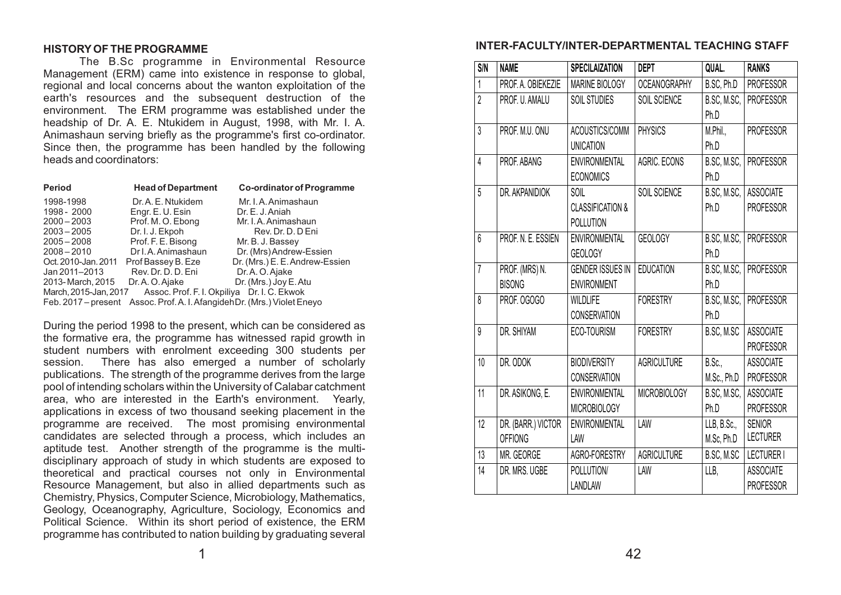#### **HISTORYOF THE PROGRAMME**

The B.Sc programme in Environmental Resource Management (ERM) came into existence in response to global, regional and local concerns about the wanton exploitation of the earth's resources and the subsequent destruction of the environment. The ERM programme was established under the headship of Dr. A. E. Ntukidem in August, 1998, with Mr. I. A. Animashaun serving briefly as the programme's first co-ordinator. Since then, the programme has been handled by the following heads and coordinators:

| <b>Period</b>                                                        | <b>Head of Department</b> | <b>Co-ordinator of Programme</b>                     |  |  |
|----------------------------------------------------------------------|---------------------------|------------------------------------------------------|--|--|
| 1998-1998                                                            | Dr. A. E. Ntukidem        | Mr. I.A. Animashaun                                  |  |  |
| 1998 - 2000                                                          | Engr. E. U. Esin          | Dr. E. J. Aniah                                      |  |  |
| $2000 - 2003$                                                        | Prof. M. O. Ebong         | Mr. I. A. Animashaun                                 |  |  |
| $2003 - 2005$                                                        | Dr. I. J. Ekpoh           | Rev. Dr. D. D Eni                                    |  |  |
| $2005 - 2008$                                                        | Prof. F. E. Bisong        | Mr. B. J. Bassey                                     |  |  |
| $2008 - 2010$                                                        | Dr I. A. Animashaun       | Dr. (Mrs) Andrew-Essien                              |  |  |
| Oct. 2010-Jan. 2011                                                  | Prof Bassey B. Eze        | Dr. (Mrs.) E. E. Andrew-Essien                       |  |  |
| Jan 2011-2013                                                        | Rev. Dr. D. D. Eni        | Dr. A. O. Ajake                                      |  |  |
| 2013-March, 2015                                                     | Dr. A. O. Ajake           | Dr. (Mrs.) Joy E. Atu                                |  |  |
| Assoc. Prof. F. I. Okpiliya Dr. I. C. Ekwok<br>March, 2015-Jan, 2017 |                           |                                                      |  |  |
| Feb. 2017 – present                                                  |                           | Assoc. Prof. A. I. Afangideh Dr. (Mrs.) Violet Eneyo |  |  |

During the period 1998 to the present, which can be considered as the formative era, the programme has witnessed rapid growth in student numbers with enrolment exceeding 300 students per session. There has also emerged a number of scholarly publications. The strength of the programme derives from the large pool of intending scholars within the University of Calabar catchment area, who are interested in the Earth's environment. Yearly, applications in excess of two thousand seeking placement in the programme are received. The most promising environmental candidates are selected through a process, which includes an aptitude test. Another strength of the programme is the multidisciplinary approach of study in which students are exposed to theoretical and practical courses not only in Environmental Resource Management, but also in allied departments such as Chemistry, Physics, Computer Science, Microbiology, Mathematics, Geology, Oceanography, Agriculture, Sociology, Economics and Political Science. Within its short period of existence, the ERM programme has contributed to nation building by graduating several

#### **INTER-FACULTY/INTER-DEPARTMENTAL TEACHING STAFF**

| S/N             | <b>NAME</b>        | <b>SPECILAIZATION</b>       | <b>DEPT</b>         | QUAL.       | <b>RANKS</b>     |
|-----------------|--------------------|-----------------------------|---------------------|-------------|------------------|
| 1               | PROF. A. OBIEKEZIE | <b>MARINE BIOLOGY</b>       | <b>OCEANOGRAPHY</b> | B.SC, Ph.D  | <b>PROFESSOR</b> |
| $\overline{2}$  | PROF. U. AMALU     | <b>SOIL STUDIES</b>         | SOIL SCIENCE        | B.SC, M.SC, | <b>PROFESSOR</b> |
|                 |                    |                             |                     | Ph.D        |                  |
| $\mathfrak{z}$  | PROF. M.U. ONU     | ACOUSTICS/COMM              | <b>PHYSICS</b>      | M.Phil.,    | <b>PROFESSOR</b> |
|                 |                    | <b>UNICATION</b>            |                     | Ph.D        |                  |
| $\overline{4}$  | PROF. ABANG        | <b>ENVIRONMENTAL</b>        | AGRIC, ECONS        | B.SC, M.SC, | <b>PROFESSOR</b> |
|                 |                    | <b>ECONOMICS</b>            |                     | Ph.D        |                  |
| 5               | DR. AKPANIDIOK     | SOIL                        | SOIL SCIENCE        | B.SC, M.SC, | <b>ASSOCIATE</b> |
|                 |                    | <b>CLASSIFICATION &amp;</b> |                     | Ph.D        | <b>PROFESSOR</b> |
|                 |                    | POLLUTION                   |                     |             |                  |
| $6\phantom{.}6$ | PROF. N. E. ESSIEN | <b>ENVIRONMENTAL</b>        | <b>GEOLOGY</b>      | B.SC, M.SC, | <b>PROFESSOR</b> |
|                 |                    | <b>GEOLOGY</b>              |                     | Ph.D        |                  |
| $\overline{1}$  | PROF. (MRS) N.     | <b>GENDER ISSUES IN</b>     | <b>EDUCATION</b>    | B.SC, M.SC, | <b>PROFESSOR</b> |
|                 | <b>BISONG</b>      | <b>ENVIRONMENT</b>          |                     | Ph.D        |                  |
| 8               | PROF. OGOGO        | <b>WILDLIFE</b>             | <b>FORESTRY</b>     | B.SC, M.SC, | <b>PROFESSOR</b> |
|                 |                    | <b>CONSERVATION</b>         |                     | Ph.D        |                  |
| 9               | DR. SHIYAM         | ECO-TOURISM                 | <b>FORESTRY</b>     | B.SC, M.SC  | <b>ASSOCIATE</b> |
|                 |                    |                             |                     |             | <b>PROFESSOR</b> |
| 10              | DR. ODOK           | <b>BIODIVERSITY</b>         | <b>AGRICULTURE</b>  | B.Sc.       | <b>ASSOCIATE</b> |
|                 |                    | <b>CONSERVATION</b>         |                     | M.Sc., Ph.D | <b>PROFESSOR</b> |
| 11              | DR. ASIKONG, E.    | <b>ENVIRONMENTAL</b>        | <b>MICROBIOLOGY</b> | B.SC, M.SC, | <b>ASSOCIATE</b> |
|                 |                    | <b>MICROBIOLOGY</b>         |                     | Ph.D        | <b>PROFESSOR</b> |
| 12              | DR. (BARR.) VICTOR | <b>ENVIRONMENTAL</b>        | LAW                 | LLB, B.Sc., | <b>SENIOR</b>    |
|                 | <b>OFFIONG</b>     | LAW                         |                     | M.Sc, Ph.D  | <b>LECTURER</b>  |
| 13              | MR. GEORGE         | AGRO-FORESTRY               | <b>AGRICULTURE</b>  | B.SC, M.SC  | LECTURER I       |
| 14              | DR. MRS. UGBE      | POLLUTION/                  | LAW                 | LLB,        | <b>ASSOCIATE</b> |
|                 |                    | <b>LANDLAW</b>              |                     |             | <b>PROFESSOR</b> |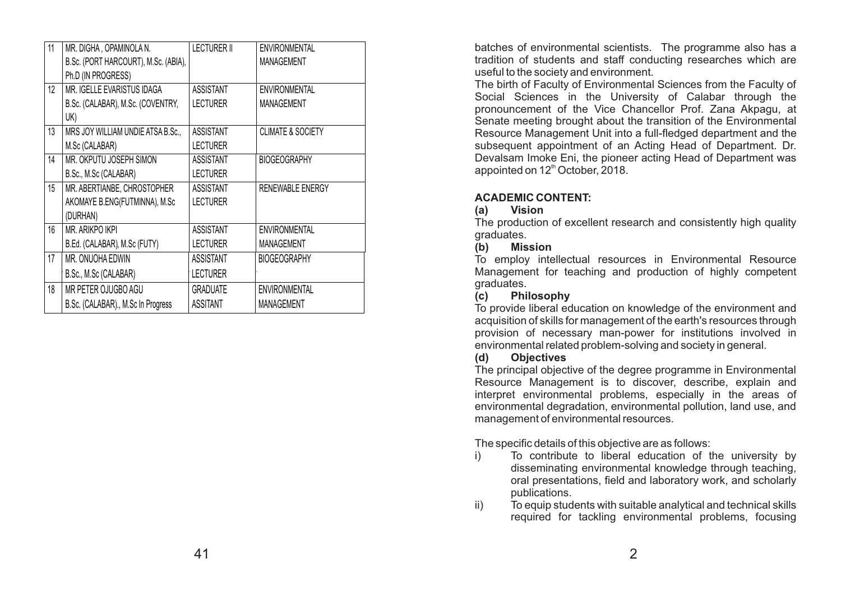| 11 | MR. DIGHA, OPAMINOLA N.              | <b>LECTURER II</b> | <b>ENVIRONMENTAL</b>         |
|----|--------------------------------------|--------------------|------------------------------|
|    | B.Sc. (PORT HARCOURT), M.Sc. (ABIA), |                    | <b>MANAGEMENT</b>            |
|    | Ph.D (IN PROGRESS)                   |                    |                              |
| 12 | MR. IGELLE EVARISTUS IDAGA           | <b>ASSISTANT</b>   | <b>ENVIRONMENTAL</b>         |
|    | B.Sc. (CALABAR), M.Sc. (COVENTRY,    | <b>LECTURER</b>    | <b>MANAGEMENT</b>            |
|    | UK)                                  |                    |                              |
| 13 | MRS JOY WILLIAM UNDIE ATSA B.Sc.,    | <b>ASSISTANT</b>   | <b>CLIMATE &amp; SOCIETY</b> |
|    | M.Sc (CALABAR)                       | <b>LECTURER</b>    |                              |
| 14 | MR. OKPUTU JOSEPH SIMON              | <b>ASSISTANT</b>   | <b>BIOGEOGRAPHY</b>          |
|    | B.Sc., M.Sc (CALABAR)                | <b>LECTURER</b>    |                              |
| 15 | MR. ABERTIANBE, CHROSTOPHER          | <b>ASSISTANT</b>   | RENEWABLE ENERGY             |
|    | AKOMAYE B.ENG(FUTMINNA), M.Sc        | <b>LECTURER</b>    |                              |
|    | (DURHAN)                             |                    |                              |
| 16 | MR. ARIKPO IKPI                      | <b>ASSISTANT</b>   | <b>ENVIRONMENTAL</b>         |
|    | B.Ed. (CALABAR), M.Sc (FUTY)         | <b>LECTURER</b>    | MANAGEMENT                   |
| 17 | MR. ONUOHA EDWIN                     | <b>ASSISTANT</b>   | <b>BIOGEOGRAPHY</b>          |
|    | B.Sc., M.Sc (CALABAR)                | <b>LECTURER</b>    |                              |
| 18 | MR PETER OJUGBO AGU                  | <b>GRADUATE</b>    | <b>ENVIRONMENTAL</b>         |
|    | B.Sc. (CALABAR)., M.Sc In Progress   | <b>ASSITANT</b>    | <b>MANAGEMENT</b>            |

batches of environmental scientists. The programme also has a tradition of students and staff conducting researches which are useful to the society and environment.

The birth of Faculty of Environmental Sciences from the Faculty of Social Sciences in the University of Calabar through the pronouncement of the Vice Chancellor Prof. Zana Akpagu, at Senate meeting brought about the transition of the Environmental Resource Management Unit into a full-fledged department and the subsequent appointment of an Acting Head of Department. Dr. Devalsam Imoke Eni, the pioneer acting Head of Department was appointed on 12<sup>th</sup> October, 2018.

#### **ACADEMIC CONTENT:**

#### **(a) Vision**

The production of excellent research and consistently high quality graduates.

# **(b) Mission**

To employ intellectual resources in Environmental Resource Management for teaching and production of highly competent graduates.

# **(c) Philosophy**

To provide liberal education on knowledge of the environment and acquisition of skills for management of the earth's resources through provision of necessary man-power for institutions involved in environmental related problem-solving and society in general.

# **(d) Objectives**

The principal objective of the degree programme in Environmental Resource Management is to discover, describe, explain and interpret environmental problems, especially in the areas of environmental degradation, environmental pollution, land use, and management of environmental resources.

The specific details of this objective are as follows:

- i) To contribute to liberal education of the university by disseminating environmental knowledge through teaching, oral presentations, field and laboratory work, and scholarly publications.
- ii) To equip students with suitable analytical and technical skills required for tackling environmental problems, focusing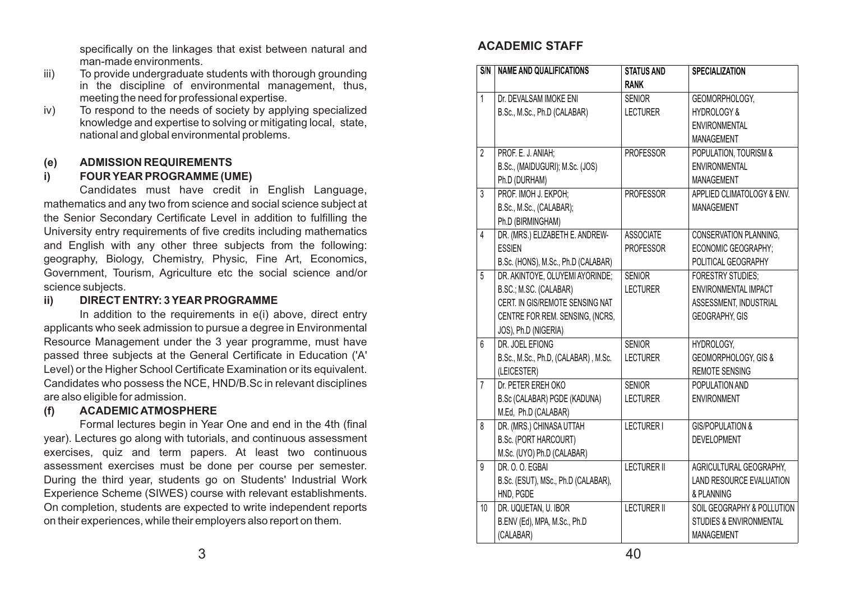specifically on the linkages that exist between natural and man-made environments.

- iii) To provide undergraduate students with thorough grounding in the discipline of environmental management, thus, meeting the need for professional expertise.
- iv) To respond to the needs of society by applying specialized knowledge and expertise to solving or mitigating local, state, national and global environmental problems.

### **(e) ADMISSION REQUIREMENTS**

# **i) FOUR YEAR PROGRAMME (UME)**

Candidates must have credit in English Language, mathematics and any two from science and social science subject at the Senior Secondary Certificate Level in addition to fulfilling the University entry requirements of five credits including mathematics and English with any other three subjects from the following: geography, Biology, Chemistry, Physic, Fine Art, Economics, Government, Tourism, Agriculture etc the social science and/or science subjects.

#### **ii) DIRECT ENTRY: 3 YEAR PROGRAMME**

In addition to the requirements in e(i) above, direct entry applicants who seek admission to pursue a degree in Environmental Resource Management under the 3 year programme, must have passed three subjects at the General Certificate in Education ('A' Level) or the Higher School Certificate Examination or its equivalent. Candidates who possess the NCE, HND/B.Sc in relevant disciplines are also eligible for admission.

### **(f) ACADEMIC ATMOSPHERE**

Formal lectures begin in Year One and end in the 4th (final year). Lectures go along with tutorials, and continuous assessment exercises, quiz and term papers. At least two continuous assessment exercises must be done per course per semester. During the third year, students go on Students' Industrial Work Experience Scheme (SIWES) course with relevant establishments. On completion, students are expected to write independent reports on their experiences, while their employers also report on them.

# **ACADEMIC STAFF**

| S/N            | <b>NAME AND QUALIFICATIONS</b>       | <b>STATUS AND</b>  | <b>SPECIALIZATION</b>              |
|----------------|--------------------------------------|--------------------|------------------------------------|
|                |                                      | <b>RANK</b>        |                                    |
| 1              | Dr. DEVALSAM IMOKE ENI               | <b>SENIOR</b>      | GEOMORPHOLOGY,                     |
|                | B.Sc., M.Sc., Ph.D (CALABAR)         | <b>LECTURER</b>    | <b>HYDROLOGY &amp;</b>             |
|                |                                      |                    | <b>ENVIRONMENTAL</b>               |
|                |                                      |                    | <b>MANAGEMENT</b>                  |
| $\overline{2}$ | PROF. E. J. ANIAH;                   | <b>PROFESSOR</b>   | POPULATION, TOURISM &              |
|                | B.Sc., (MAIDUGURI); M.Sc. (JOS)      |                    | <b>ENVIRONMENTAL</b>               |
|                | Ph.D (DURHAM)                        |                    | <b>MANAGEMENT</b>                  |
| 3              | PROF. IMOH J. EKPOH;                 | <b>PROFESSOR</b>   | APPLIED CLIMATOLOGY & ENV.         |
|                | B.Sc., M.Sc., (CALABAR);             |                    | <b>MANAGEMENT</b>                  |
|                | Ph.D (BIRMINGHAM)                    |                    |                                    |
| 4              | DR. (MRS.) ELIZABETH E. ANDREW-      | <b>ASSOCIATE</b>   | CONSERVATION PLANNING,             |
|                | <b>ESSIEN</b>                        | <b>PROFESSOR</b>   | ECONOMIC GEOGRAPHY;                |
|                | B.Sc. (HONS), M.Sc., Ph.D (CALABAR)  |                    | POLITICAL GEOGRAPHY                |
| 5              | DR. AKINTOYE, OLUYEMI AYORINDE;      | <b>SENIOR</b>      | <b>FORESTRY STUDIES:</b>           |
|                | B.SC.; M.SC. (CALABAR)               | <b>LECTURER</b>    | <b>ENVIRONMENTAL IMPACT</b>        |
|                | CERT. IN GIS/REMOTE SENSING NAT      |                    | ASSESSMENT, INDUSTRIAL             |
|                | CENTRE FOR REM. SENSING, (NCRS,      |                    | <b>GEOGRAPHY, GIS</b>              |
|                | JOS), Ph.D (NIGERIA)                 |                    |                                    |
| 6              | DR. JOEL EFIONG                      | <b>SENIOR</b>      | HYDROLOGY,                         |
|                | B.Sc., M.Sc., Ph.D, (CALABAR), M.Sc. | <b>LECTURER</b>    | GEOMORPHOLOGY, GIS &               |
|                | (LEICESTER)                          |                    | <b>REMOTE SENSING</b>              |
| $\overline{7}$ | Dr. PETER EREH OKO                   | <b>SENIOR</b>      | POPULATION AND                     |
|                | B.Sc (CALABAR) PGDE (KADUNA)         | <b>LECTURER</b>    | <b>ENVIRONMENT</b>                 |
|                | M.Ed, Ph.D (CALABAR)                 |                    |                                    |
| 8              | DR. (MRS.) CHINASA UTTAH             | <b>LECTURER I</b>  | <b>GIS/POPULATION &amp;</b>        |
|                | <b>B.Sc. (PORT HARCOURT)</b>         |                    | <b>DEVELOPMENT</b>                 |
|                | M.Sc. (UYO) Ph.D (CALABAR)           |                    |                                    |
| 9              | DR. O. O. EGBAI                      | <b>LECTURER II</b> | AGRICULTURAL GEOGRAPHY,            |
|                | B.Sc. (ESUT), MSc., Ph.D (CALABAR),  |                    | LAND RESOURCE EVALUATION           |
|                | HND, PGDE                            |                    | & PLANNING                         |
| 10             | DR. UQUETAN, U. IBOR                 | <b>LECTURER II</b> | SOIL GEOGRAPHY & POLLUTION         |
|                | B.ENV (Ed), MPA, M.Sc., Ph.D         |                    | <b>STUDIES &amp; ENVIRONMENTAL</b> |
|                | (CALABAR)                            |                    | MANAGEMENT                         |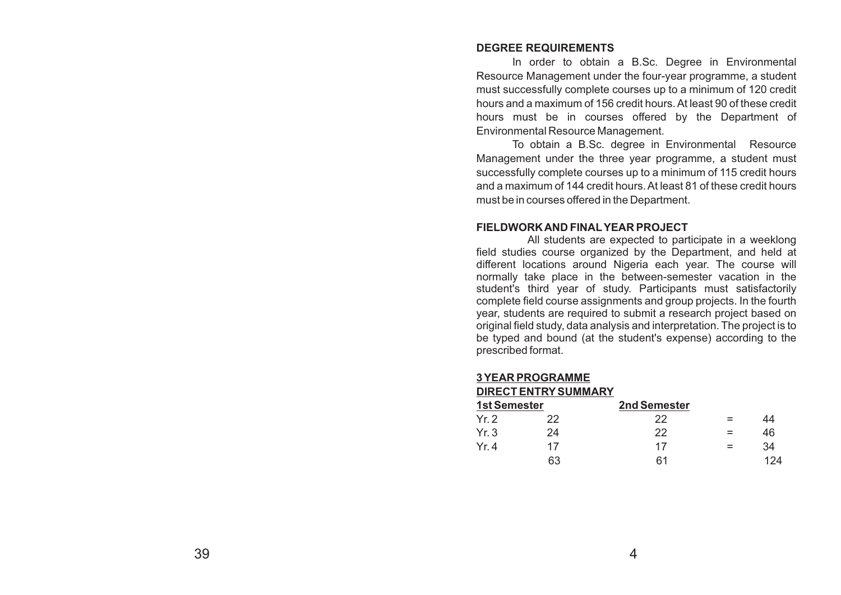#### **DEGREE REQUIREMENTS**

In order to obtain a B.Sc. Degree in Environmental Resource Management under the four-year programme, a student must successfully complete courses up to a minimum of 120 credit hours and a maximum of 156 credit hours. At least 90 of these credit hours must be in courses offered by the Department of Environmental Resource Management.

To obtain a B.Sc. degree in Environmental Resource Management under the three year programme, a student must successfully complete courses up to a minimum of 115 credit hours and a maximum of 144 credit hours. At least 81 of these credit hours must be in courses offered in the Department.

#### **FIELDWORK AND FINALYEAR PROJECT**

All students are expected to participate in a weeklong field studies course organized by the Department, and held at different locations around Nigeria each year. The course will normally take place in the between-semester vacation in the student's third year of study. Participants must satisfactorily complete field course assignments and group projects. In the fourth year, students are required to submit a research project based on original field study, data analysis and interpretation. The project is to be typed and bound (at the student's expense) according to the prescribed format.

#### **3 YEAR PROGRAMME**

#### **DIRECT ENTRYSUMMARY**

| 1st Semester |    | 2nd Semester |     |     |
|--------------|----|--------------|-----|-----|
| Yr.2         | 22 | 22           | $=$ | 44  |
| Yr.3         | 24 | 22           |     | 46  |
| Yr 4         | 17 | 17           | $=$ | 34  |
|              | 63 | 61           |     | 124 |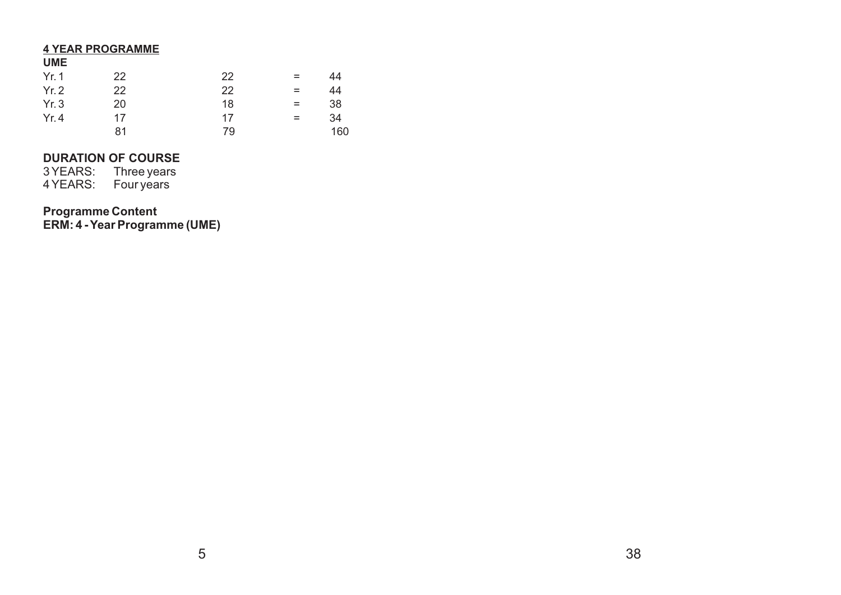#### **4 YEAR PROGRAMME**

#### **UME**

| Yr. 1 | 22 | 22 | $=$ | 44  |
|-------|----|----|-----|-----|
| Yr.2  | 22 | 22 | $=$ | 44  |
| Yr.3  | 20 | 18 | $=$ | 38  |
| Yr.4  | 17 | 17 | $=$ | 34  |
|       | 81 | 79 |     | 160 |

# **DURATION OF COURSE**

3 YEARS: Three years 4 YEARS: Four years

# **Programme Content**

**ERM: 4 - Year Programme (UME)**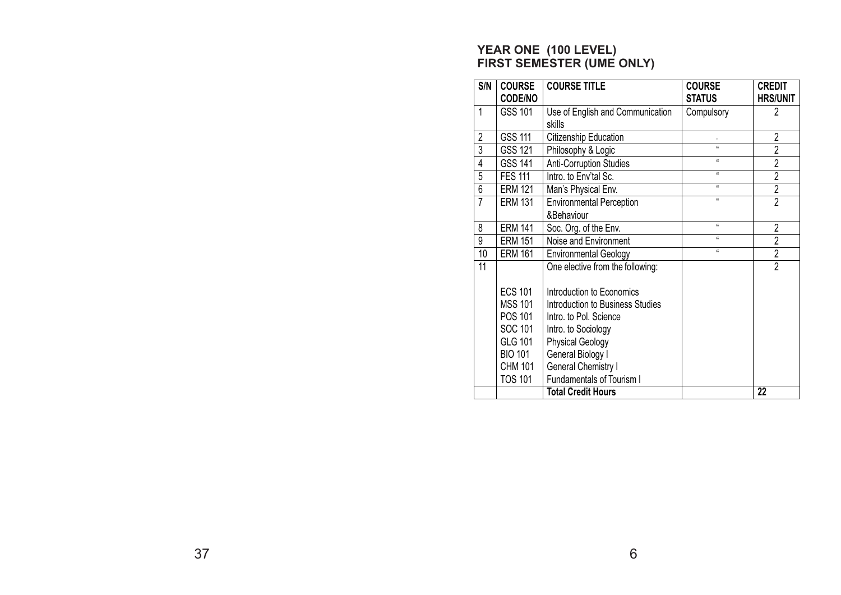# **YEAR ONE (100 LEVEL) FIRST SEMESTER (UME ONLY)**

| S/N            | <b>COURSE</b><br><b>CODE/NO</b>                                                                                                | <b>COURSE TITLE</b>                                                                                                                                                                                                       | <b>COURSE</b><br><b>STATUS</b> | <b>CREDIT</b><br><b>HRS/UNIT</b> |
|----------------|--------------------------------------------------------------------------------------------------------------------------------|---------------------------------------------------------------------------------------------------------------------------------------------------------------------------------------------------------------------------|--------------------------------|----------------------------------|
| 1              | GSS 101                                                                                                                        | Use of English and Communication                                                                                                                                                                                          | Compulsory                     | $\overline{2}$                   |
|                |                                                                                                                                | skills                                                                                                                                                                                                                    |                                |                                  |
| $\overline{2}$ | <b>GSS 111</b>                                                                                                                 | Citizenship Education                                                                                                                                                                                                     |                                | $\overline{2}$                   |
| $\overline{3}$ | GSS 121                                                                                                                        | Philosophy & Logic                                                                                                                                                                                                        | $\alpha$                       | $\overline{2}$                   |
| $\overline{4}$ | <b>GSS 141</b>                                                                                                                 | <b>Anti-Corruption Studies</b>                                                                                                                                                                                            | $\mathfrak{g}$                 | $\overline{2}$                   |
| $\overline{5}$ | <b>FES 111</b>                                                                                                                 | Intro. to Env'tal Sc.                                                                                                                                                                                                     | $\alpha$                       | $\overline{2}$                   |
| 6              | <b>ERM 121</b>                                                                                                                 | Man's Physical Env.                                                                                                                                                                                                       | $\mathfrak{g}$                 | $\overline{c}$                   |
| $\overline{7}$ | <b>ERM 131</b>                                                                                                                 | <b>Environmental Perception</b>                                                                                                                                                                                           | $\alpha$                       | $\overline{2}$                   |
|                |                                                                                                                                | &Behaviour                                                                                                                                                                                                                |                                |                                  |
| 8              | <b>ERM 141</b>                                                                                                                 | Soc. Org. of the Env.                                                                                                                                                                                                     | $\mathbf{g}$                   | $\overline{2}$                   |
| 9              | <b>ERM 151</b>                                                                                                                 | Noise and Environment                                                                                                                                                                                                     | $\mathfrak{g}$                 | $\overline{2}$                   |
| 10             | <b>ERM 161</b>                                                                                                                 | <b>Environmental Geology</b>                                                                                                                                                                                              | $\mathfrak{g}$                 | $\overline{2}$                   |
| 11             |                                                                                                                                | One elective from the following:                                                                                                                                                                                          |                                | $\overline{2}$                   |
|                | <b>ECS 101</b><br><b>MSS 101</b><br>POS 101<br>SOC 101<br><b>GLG 101</b><br><b>BIO 101</b><br><b>CHM 101</b><br><b>TOS 101</b> | Introduction to Economics<br>Introduction to Business Studies<br>Intro. to Pol. Science<br>Intro. to Sociology<br><b>Physical Geology</b><br>General Biology I<br>General Chemistry I<br><b>Fundamentals of Tourism I</b> |                                |                                  |
|                |                                                                                                                                | <b>Total Credit Hours</b>                                                                                                                                                                                                 |                                | 22                               |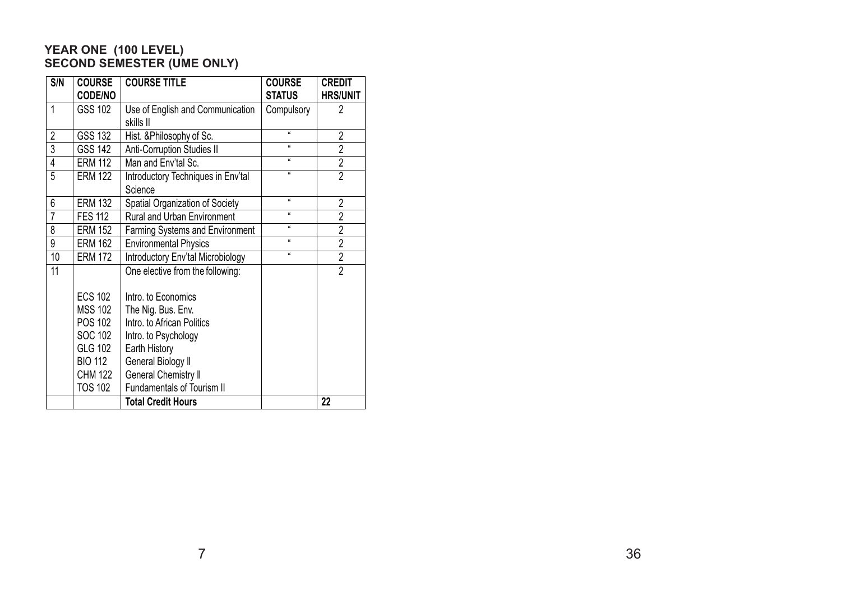# **YEAR ONE (100 LEVEL) SECOND SEMESTER (UME ONLY)**

| S/N            | <b>COURSE</b><br><b>CODE/NO</b> | <b>COURSE TITLE</b>                           | <b>COURSE</b><br><b>STATUS</b> | <b>CREDIT</b><br><b>HRS/UNIT</b> |
|----------------|---------------------------------|-----------------------------------------------|--------------------------------|----------------------------------|
| 1              | GSS 102                         | Use of English and Communication<br>skills II | Compulsory                     | $\overline{2}$                   |
| $\overline{2}$ | GSS 132                         | Hist. & Philosophy of Sc.                     | $\alpha$                       | $\overline{2}$                   |
| $\overline{3}$ | <b>GSS 142</b>                  | <b>Anti-Corruption Studies II</b>             | $\alpha$                       | $\overline{2}$                   |
| $\overline{4}$ | <b>ERM 112</b>                  | Man and Env'tal Sc.                           | $\alpha$                       | $\overline{2}$                   |
| 5              | <b>ERM 122</b>                  | Introductory Techniques in Env'tal<br>Science | $\alpha$                       | $\overline{2}$                   |
| 6              | <b>ERM 132</b>                  | Spatial Organization of Society               | $\mu$                          | $\overline{2}$                   |
| $\overline{7}$ | <b>FES 112</b>                  | Rural and Urban Environment                   | a.                             | $\overline{2}$                   |
| 8              | <b>ERM 152</b>                  | Farming Systems and Environment               | a.                             | $\overline{2}$                   |
| 9              | <b>ERM 162</b>                  | <b>Environmental Physics</b>                  | $\alpha$                       | $\overline{2}$                   |
| 10             | <b>ERM 172</b>                  | Introductory Env'tal Microbiology             | $\mu$                          | $\overline{2}$                   |
| 11             |                                 | One elective from the following:              |                                | $\overline{2}$                   |
|                | <b>ECS 102</b>                  | Intro, to Economics                           |                                |                                  |
|                | <b>MSS 102</b>                  | The Nig. Bus. Env.                            |                                |                                  |
|                | POS 102                         | Intro. to African Politics                    |                                |                                  |
|                | <b>SOC 102</b>                  | Intro. to Psychology                          |                                |                                  |
|                | GLG 102                         | Earth History                                 |                                |                                  |
|                | <b>BIO 112</b>                  | General Biology II                            |                                |                                  |
|                | <b>CHM 122</b>                  | <b>General Chemistry II</b>                   |                                |                                  |
|                | <b>TOS 102</b>                  | <b>Fundamentals of Tourism II</b>             |                                |                                  |
|                |                                 | <b>Total Credit Hours</b>                     |                                | 22                               |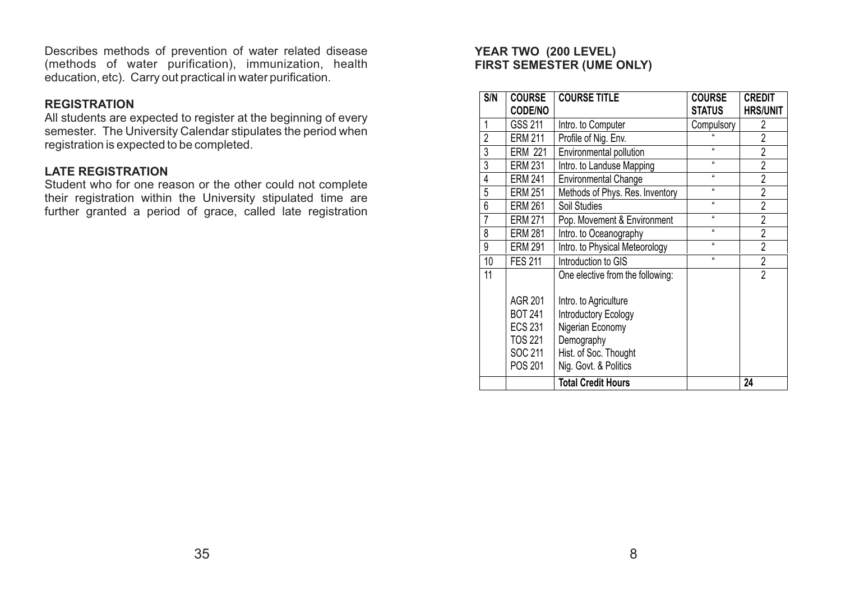Describes methods of prevention of water related disease (methods of water purification), immunization, health education, etc). Carry out practical in water purification.

# **REGISTRATION**

All students are expected to register at the beginning of every semester. The University Calendar stipulates the period when registration is expected to be completed.

# **LATE REGISTRATION**

Student who for one reason or the other could not complete their registration within the University stipulated time are further granted a period of grace, called late registration

# **YEAR TWO (200 LEVEL) FIRST SEMESTER (UME ONLY)**

| S/N            | <b>COURSE</b>                                                                              | <b>COURSE TITLE</b>                                                                                                               | <b>COURSE</b> | <b>CREDIT</b>   |
|----------------|--------------------------------------------------------------------------------------------|-----------------------------------------------------------------------------------------------------------------------------------|---------------|-----------------|
|                | <b>CODE/NO</b>                                                                             |                                                                                                                                   | <b>STATUS</b> | <b>HRS/UNIT</b> |
| 1              | GSS 211                                                                                    | Intro. to Computer                                                                                                                | Compulsory    | 2               |
| $\overline{2}$ | <b>ERM 211</b>                                                                             | Profile of Nig. Env.                                                                                                              |               | $\overline{2}$  |
| 3              | <b>ERM 221</b>                                                                             | Environmental pollution                                                                                                           | $\mu$         | $\overline{2}$  |
| 3              | <b>ERM 231</b>                                                                             | Intro. to Landuse Mapping                                                                                                         | $\mu$         | $\overline{2}$  |
| $\overline{4}$ | <b>ERM 241</b>                                                                             | <b>Environmental Change</b>                                                                                                       | a.            | $\overline{2}$  |
| 5              | <b>ERM 251</b>                                                                             | Methods of Phys. Res. Inventory                                                                                                   | $\mathbf{u}$  | $\overline{2}$  |
| 6              | <b>ERM 261</b>                                                                             | Soil Studies                                                                                                                      | $\mathbf{u}$  | $\overline{2}$  |
| $\overline{7}$ | <b>ERM 271</b>                                                                             | Pop. Movement & Environment                                                                                                       | $\mu$         | $\overline{2}$  |
| 8              | <b>ERM 281</b>                                                                             | Intro. to Oceanography                                                                                                            | $\mathbf{u}$  | $\overline{2}$  |
| 9              | <b>ERM 291</b>                                                                             | Intro. to Physical Meteorology                                                                                                    | $\alpha$      | $\overline{2}$  |
| 10             | <b>FES 211</b>                                                                             | Introduction to GIS                                                                                                               | $\mathbf{u}$  | $\overline{2}$  |
| 11             |                                                                                            | One elective from the following:                                                                                                  |               | $\overline{2}$  |
|                | <b>AGR 201</b><br><b>BOT 241</b><br><b>ECS 231</b><br><b>TOS 221</b><br>SOC 211<br>POS 201 | Intro. to Agriculture<br>Introductory Ecology<br>Nigerian Economy<br>Demography<br>Hist. of Soc. Thought<br>Nig. Govt. & Politics |               |                 |
|                |                                                                                            | <b>Total Credit Hours</b>                                                                                                         |               | 24              |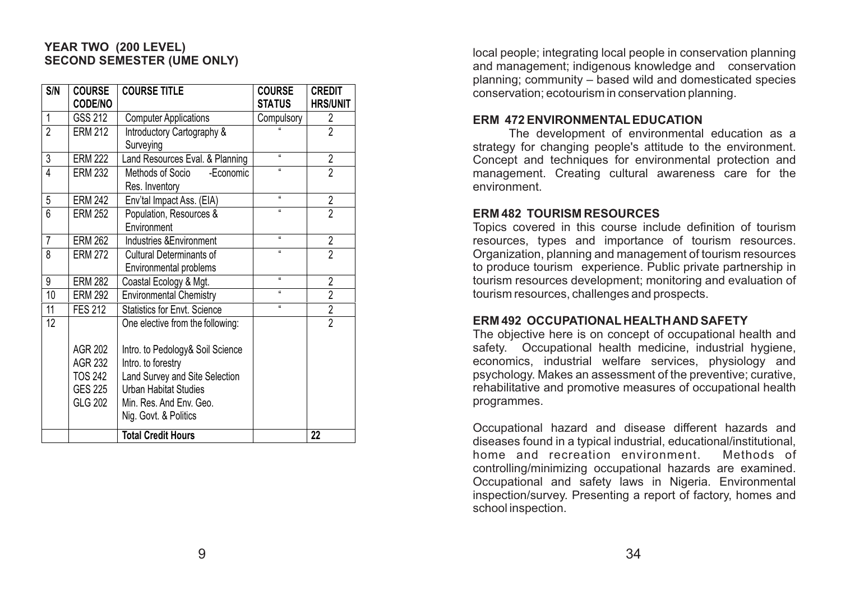# **YEAR TWO (200 LEVEL) SECOND SEMESTER (UME ONLY)**

| S/N             | <b>COURSE</b><br><b>CODE/NO</b>                                   | <b>COURSE TITLE</b>                                                                                                                                                                                              | <b>COURSE</b><br><b>STATUS</b> | <b>CREDIT</b><br><b>HRS/UNIT</b> |
|-----------------|-------------------------------------------------------------------|------------------------------------------------------------------------------------------------------------------------------------------------------------------------------------------------------------------|--------------------------------|----------------------------------|
| 1               | GSS 212                                                           | <b>Computer Applications</b>                                                                                                                                                                                     | Compulsory                     | $\overline{2}$                   |
| $\overline{2}$  | <b>ERM 212</b>                                                    | Introductory Cartography &<br>Surveying                                                                                                                                                                          |                                | $\overline{2}$                   |
| 3               | <b>ERM 222</b>                                                    | Land Resources Eval. & Planning                                                                                                                                                                                  | $\mathfrak{g}$                 | $\overline{\mathbf{2}}$          |
| 4               | <b>ERM 232</b>                                                    | Methods of Socio<br>-Economic<br>Res. Inventory                                                                                                                                                                  | $\mathbf{a}$                   | $\overline{2}$                   |
| 5               | <b>ERM 242</b>                                                    | Env'tal Impact Ass. (EIA)                                                                                                                                                                                        | $\mathbf{a}$                   | $\overline{2}$                   |
| 6               | <b>ERM 252</b>                                                    | Population, Resources &<br>Environment                                                                                                                                                                           | $\mathbf{a}$                   | $\overline{2}$                   |
| $\overline{7}$  | <b>ERM 262</b>                                                    | Industries & Environment                                                                                                                                                                                         | $\mathbf{a}$                   | $\overline{\mathbf{2}}$          |
| 8               | <b>ERM 272</b>                                                    | <b>Cultural Determinants of</b><br>Environmental problems                                                                                                                                                        | $\alpha$                       | $\overline{2}$                   |
| 9               | <b>ERM 282</b>                                                    | Coastal Ecology & Mgt.                                                                                                                                                                                           | íí.                            | $\overline{2}$                   |
| 10              | <b>ERM 292</b>                                                    | <b>Environmental Chemistry</b>                                                                                                                                                                                   | $\mathfrak{g}$                 | $\overline{2}$                   |
| 11              | <b>FES 212</b>                                                    | <b>Statistics for Envt. Science</b>                                                                                                                                                                              | a.                             | $\overline{2}$                   |
| $\overline{12}$ | <b>AGR 202</b><br>AGR 232<br>TOS 242<br><b>GES 225</b><br>GLG 202 | One elective from the following:<br>Intro. to Pedology& Soil Science<br>Intro. to forestry<br>Land Survey and Site Selection<br><b>Urban Habitat Studies</b><br>Min. Res. And Env. Geo.<br>Nig. Govt. & Politics |                                | $\overline{2}$                   |
|                 |                                                                   | <b>Total Credit Hours</b>                                                                                                                                                                                        |                                | 22                               |

local people; integrating local people in conservation planning and management; indigenous knowledge and conservation planning; community – based wild and domesticated species conservation; ecotourism in conservation planning.

### **ERM 472 ENVIRONMENTALEDUCATION**

The development of environmental education as a strategy for changing people's attitude to the environment. Concept and techniques for environmental protection and management. Creating cultural awareness care for the environment.

#### **ERM 482 TOURISM RESOURCES**

Topics covered in this course include definition of tourism resources, types and importance of tourism resources. Organization, planning and management of tourism resources to produce tourism experience. Public private partnership in tourism resources development; monitoring and evaluation of tourism resources, challenges and prospects.

#### **ERM 492 OCCUPATIONAL HEALTH AND SAFETY**

The objective here is on concept of occupational health and safety. Occupational health medicine, industrial hygiene, economics, industrial welfare services, physiology and psychology. Makes an assessment of the preventive; curative, rehabilitative and promotive measures of occupational health programmes.

Occupational hazard and disease different hazards and diseases found in a typical industrial, educational/institutional, home and recreation environment. Methods of controlling/minimizing occupational hazards are examined. Occupational and safety laws in Nigeria. Environmental inspection/survey. Presenting a report of factory, homes and school inspection.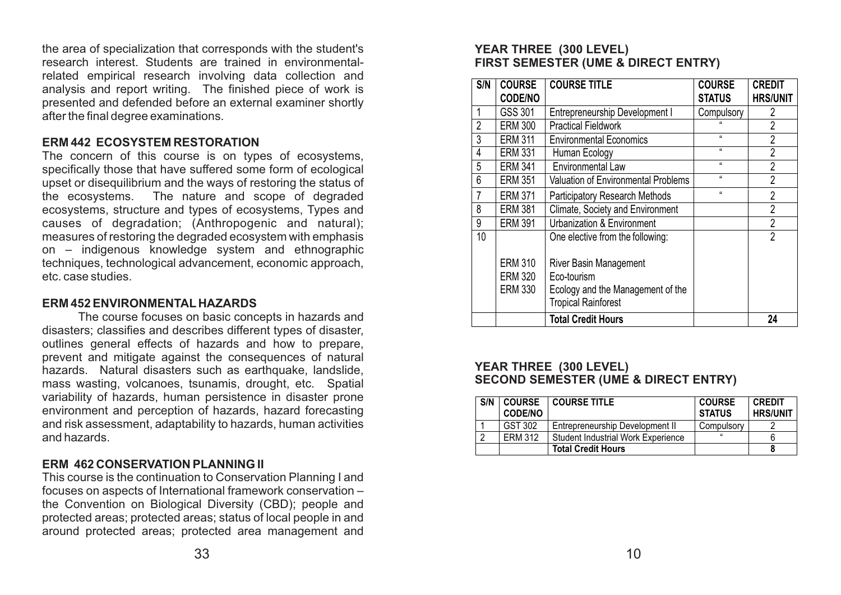the area of specialization that corresponds with the student's research interest. Students are trained in environmentalrelated empirical research involving data collection and analysis and report writing. The finished piece of work is presented and defended before an external examiner shortly after the final degree examinations.

# **ERM 442 ECOSYSTEM RESTORATION**

The concern of this course is on types of ecosystems, specifically those that have suffered some form of ecological upset or disequilibrium and the ways of restoring the status of the ecosystems. The nature and scope of degraded ecosystems, structure and types of ecosystems, Types and causes of degradation; (Anthropogenic and natural); measures of restoring the degraded ecosystem with emphasis on – indigenous knowledge system and ethnographic techniques, technological advancement, economic approach, etc. case studies.

### **ERM 452 ENVIRONMENTAL HAZARDS**

The course focuses on basic concepts in hazards and disasters; classifies and describes different types of disaster, outlines general effects of hazards and how to prepare, prevent and mitigate against the consequences of natural hazards. Natural disasters such as earthquake, landslide, mass wasting, volcanoes, tsunamis, drought, etc. Spatial variability of hazards, human persistence in disaster prone environment and perception of hazards, hazard forecasting and risk assessment, adaptability to hazards, human activities and hazards.

# **ERM 462 CONSERVATION PLANNING II**

This course is the continuation to Conservation Planning I and focuses on aspects of International framework conservation – the Convention on Biological Diversity (CBD); people and protected areas; protected areas; status of local people in and around protected areas; protected area management and

# **YEAR THREE (300 LEVEL) FIRST SEMESTER (UME & DIRECT ENTRY)**

| S/N             | <b>COURSE</b><br><b>CODE/NO</b> | <b>COURSE TITLE</b>                                             | <b>COURSE</b><br><b>STATUS</b> | <b>CREDIT</b><br><b>HRS/UNIT</b> |
|-----------------|---------------------------------|-----------------------------------------------------------------|--------------------------------|----------------------------------|
| $\overline{1}$  | GSS 301                         | Entrepreneurship Development I                                  | Compulsory                     | 2                                |
| $\overline{2}$  | <b>ERM 300</b>                  | <b>Practical Fieldwork</b>                                      |                                | 2                                |
| $\overline{3}$  | <b>ERM 311</b>                  | <b>Environmental Economics</b>                                  | $\mathbf{u}$                   | $\overline{2}$                   |
| $\overline{4}$  | <b>ERM 331</b>                  | Human Ecology                                                   | $\mathbf{u}$                   | $\overline{2}$                   |
| $5\phantom{.0}$ | <b>ERM 341</b>                  | <b>Environmental Law</b>                                        | $\mathbf{u}$                   | $\overline{2}$                   |
| $6\phantom{1}6$ | <b>ERM 351</b>                  | <b>Valuation of Environmental Problems</b>                      | $\mathbf{u}$                   | $\overline{2}$                   |
| $\overline{7}$  | <b>ERM 371</b>                  | <b>Participatory Research Methods</b>                           | $\mathbf{u}$                   | $\overline{2}$                   |
| 8               | <b>ERM 381</b>                  | Climate, Society and Environment                                |                                | 2                                |
| 9               | <b>ERM 391</b>                  | <b>Urbanization &amp; Environment</b>                           |                                | $\overline{2}$                   |
| 10              |                                 | One elective from the following:                                |                                | $\overline{2}$                   |
|                 | <b>ERM 310</b>                  | <b>River Basin Management</b>                                   |                                |                                  |
|                 | <b>ERM 320</b>                  | Eco-tourism                                                     |                                |                                  |
|                 | <b>ERM 330</b>                  | Ecology and the Management of the<br><b>Tropical Rainforest</b> |                                |                                  |
|                 |                                 | <b>Total Credit Hours</b>                                       |                                | 24                               |

# **YEAR THREE (300 LEVEL) SECOND SEMESTER (UME & DIRECT ENTRY)**

| S/N | <b>COURSE</b><br><b>CODE/NO</b> | <b>COURSE TITLE</b>                       | <b>COURSE</b><br><b>STATUS</b> | <b>CREDIT</b><br><b>HRS/UNIT</b> |
|-----|---------------------------------|-------------------------------------------|--------------------------------|----------------------------------|
|     | GST 302                         | Entrepreneurship Development II           | Compulsory                     |                                  |
|     | <b>ERM 312</b>                  | <b>Student Industrial Work Experience</b> | $\epsilon$                     |                                  |
|     |                                 | <b>Total Credit Hours</b>                 |                                |                                  |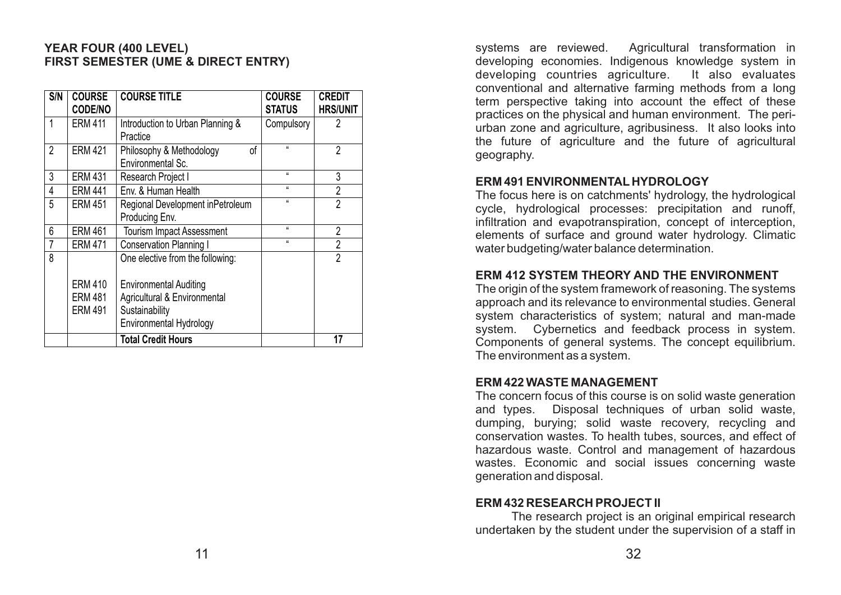# **YEAR FOUR (400 LEVEL) FIRST SEMESTER (UME & DIRECT ENTRY)**

| S/N            | <b>COURSE</b><br><b>CODE/NO</b> | <b>COURSE TITLE</b>                                 | <b>COURSE</b><br><b>STATUS</b> | <b>CREDIT</b><br><b>HRS/UNIT</b> |
|----------------|---------------------------------|-----------------------------------------------------|--------------------------------|----------------------------------|
| 1              | <b>ERM 411</b>                  | Introduction to Urban Planning &<br>Practice        | Compulsory                     | $\overline{2}$                   |
| $\overline{2}$ | <b>ERM 421</b>                  | Philosophy & Methodology<br>of<br>Environmental Sc. | $\mu$                          | $\overline{2}$                   |
| 3              | <b>ERM 431</b>                  | Research Project I                                  | $\mu$                          | 3                                |
| 4              | <b>ERM 441</b>                  | Env. & Human Health                                 | $\mu$                          | $\overline{2}$                   |
| 5              | <b>ERM 451</b>                  | Regional Development inPetroleum<br>Producing Env.  | $\mathbf{u}$                   | $\overline{2}$                   |
| 6              | <b>ERM 461</b>                  | <b>Tourism Impact Assessment</b>                    | $\mathbf{u}$                   | $\overline{2}$                   |
| 7              | <b>ERM 471</b>                  | Conservation Planning I                             | $\mathbf{u}$                   | $\overline{2}$                   |
| 8              |                                 | One elective from the following:                    |                                | $\overline{2}$                   |
|                | <b>ERM 410</b>                  | <b>Environmental Auditing</b>                       |                                |                                  |
|                | <b>ERM 481</b>                  | Agricultural & Environmental                        |                                |                                  |
|                | <b>ERM 491</b>                  | Sustainability                                      |                                |                                  |
|                |                                 | Environmental Hydrology                             |                                |                                  |
|                |                                 | <b>Total Credit Hours</b>                           |                                | 17                               |

systems are reviewed. Agricultural transformation in developing economies. Indigenous knowledge system in developing countries agriculture. It also evaluates developing countries agriculture. conventional and alternative farming methods from a long term perspective taking into account the effect of these practices on the physical and human environment. The periurban zone and agriculture, agribusiness. It also looks into the future of agriculture and the future of agricultural geography.

### **ERM 491 ENVIRONMENTAL HYDROLOGY**

The focus here is on catchments' hydrology, the hydrological cycle, hydrological processes: precipitation and runoff, infiltration and evapotranspiration, concept of interception, elements of surface and ground water hydrology. Climatic water budgeting/water balance determination.

# **ERM 412 SYSTEM THEORY AND THE ENVIRONMENT**

The origin of the system framework of reasoning. The systems approach and its relevance to environmental studies. General system characteristics of system; natural and man-made system. Cybernetics and feedback process in system. Components of general systems. The concept equilibrium. The environment as a system.

### **ERM 422 WASTE MANAGEMENT**

The concern focus of this course is on solid waste generation and types. Disposal techniques of urban solid waste, dumping, burying; solid waste recovery, recycling and conservation wastes. To health tubes, sources, and effect of hazardous waste. Control and management of hazardous wastes. Economic and social issues concerning waste generation and disposal.

### **ERM 432 RESEARCH PROJECT II**

The research project is an original empirical research undertaken by the student under the supervision of a staff in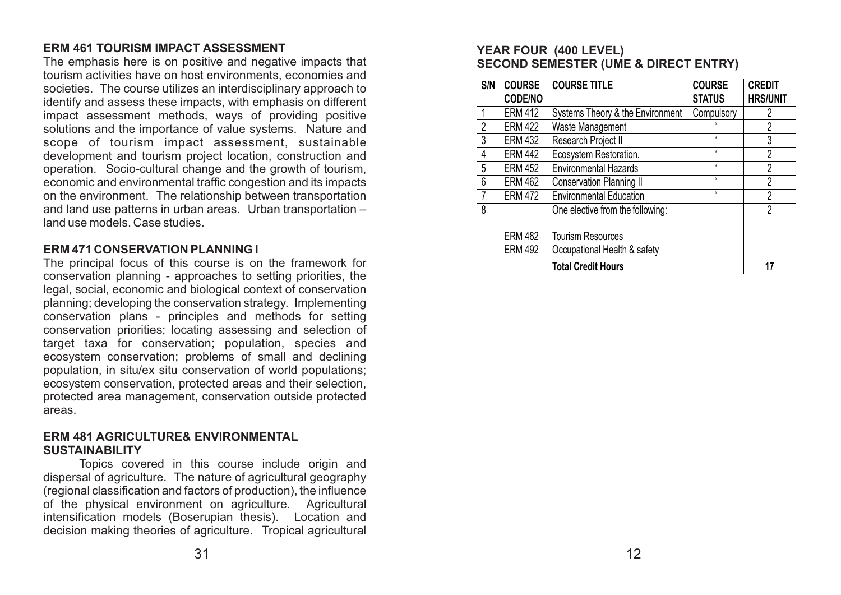# **ERM 461 TOURISM IMPACT ASSESSMENT**

The emphasis here is on positive and negative impacts that tourism activities have on host environments, economies and societies. The course utilizes an interdisciplinary approach to identify and assess these impacts, with emphasis on different impact assessment methods, ways of providing positive solutions and the importance of value systems. Nature and scope of tourism impact assessment, sustainable development and tourism project location, construction and operation. Socio-cultural change and the growth of tourism, economic and environmental traffic congestion and its impacts on the environment. The relationship between transportation and land use patterns in urban areas. Urban transportation – land use models. Case studies.

# **ERM 471 CONSERVATION PLANNING I**

The principal focus of this course is on the framework for conservation planning - approaches to setting priorities, the legal, social, economic and biological context of conservation planning; developing the conservation strategy. Implementing conservation plans - principles and methods for setting conservation priorities; locating assessing and selection of target taxa for conservation; population, species and ecosystem conservation; problems of small and declining population, in situ/ex situ conservation of world populations; ecosystem conservation, protected areas and their selection, protected area management, conservation outside protected areas.

# **ERM 481 AGRICULTURE& ENVIRONMENTAL SUSTAINABILITY**

Topics covered in this course include origin and dispersal of agriculture. The nature of agricultural geography (regional classification and factors of production), the influence of the physical environment on agriculture. Agricultural intensification models (Boserupian thesis). Location and decision making theories of agriculture. Tropical agricultural

# **YEAR FOUR (400 LEVEL) SECOND SEMESTER (UME & DIRECT ENTRY)**

| S/N            | <b>COURSE</b><br><b>CODE/NO</b> | <b>COURSE TITLE</b>              | <b>COURSE</b><br><b>STATUS</b> | <b>CREDIT</b><br><b>HRS/UNIT</b> |
|----------------|---------------------------------|----------------------------------|--------------------------------|----------------------------------|
|                | <b>ERM 412</b>                  | Systems Theory & the Environment | Compulsory                     | 2                                |
| $\overline{2}$ | <b>ERM 422</b>                  | Waste Management                 |                                | $\overline{2}$                   |
| 3              | <b>ERM 432</b>                  | Research Project II              | $\mathbf{a}$                   | 3                                |
| 4              | <b>ERM 442</b>                  | Ecosystem Restoration.           | $\mathbf{u}$                   | $\overline{2}$                   |
| 5              | <b>ERM 452</b>                  | <b>Environmental Hazards</b>     | $\mathbf{a}$                   | $\overline{2}$                   |
| 6              | <b>ERM 462</b>                  | Conservation Planning II         | $\mathbf{u}$                   | $\overline{2}$                   |
|                | <b>ERM 472</b>                  | <b>Environmental Education</b>   | $\mathbf{u}$                   | $\overline{2}$                   |
| 8              |                                 | One elective from the following: |                                | $\overline{2}$                   |
|                | <b>ERM 482</b>                  | <b>Tourism Resources</b>         |                                |                                  |
|                | <b>ERM 492</b>                  | Occupational Health & safety     |                                |                                  |
|                |                                 | <b>Total Credit Hours</b>        |                                |                                  |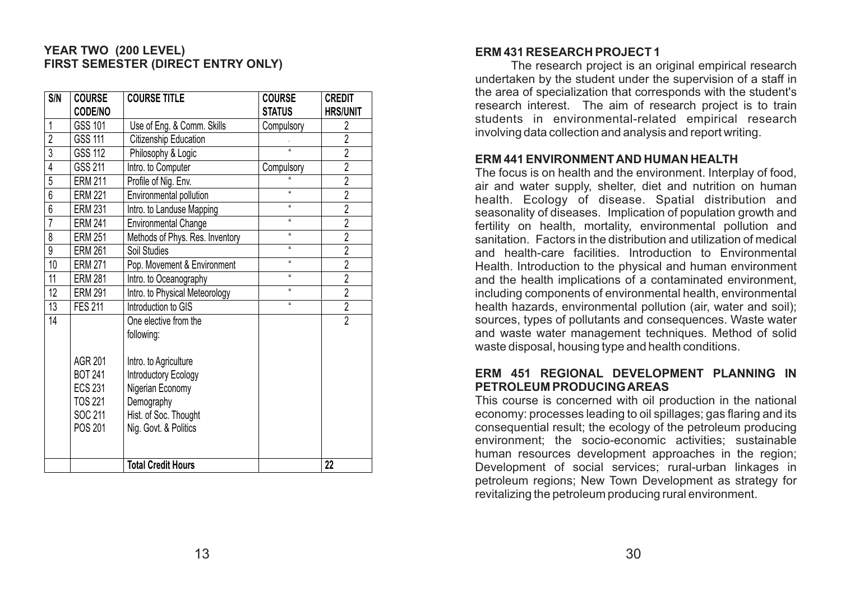# **YEAR TWO (200 LEVEL) FIRST SEMESTER (DIRECT ENTRY ONLY)**

| S/N             | <b>COURSE</b><br>CODE/NO                                                                   | <b>COURSE TITLE</b>                                                                                                                                                      | <b>COURSE</b><br><b>STATUS</b> | <b>CREDIT</b><br><b>HRS/UNIT</b> |
|-----------------|--------------------------------------------------------------------------------------------|--------------------------------------------------------------------------------------------------------------------------------------------------------------------------|--------------------------------|----------------------------------|
| 1               | GSS 101                                                                                    | Use of Eng. & Comm. Skills                                                                                                                                               | Compulsory                     | 2                                |
| $\overline{2}$  | <b>GSS 111</b>                                                                             | Citizenship Education                                                                                                                                                    |                                | $\overline{2}$                   |
| 3               | GSS 112                                                                                    | Philosophy & Logic                                                                                                                                                       | <b>K</b>                       | $\overline{2}$                   |
| 4               | GSS 211                                                                                    | Intro. to Computer                                                                                                                                                       | Compulsory                     | $\overline{2}$                   |
| $\overline{5}$  | <b>ERM 211</b>                                                                             | Profile of Nig. Env.                                                                                                                                                     |                                | $\overline{2}$                   |
| 6               | <b>ERM 221</b>                                                                             | Environmental pollution                                                                                                                                                  | $\alpha$                       | $\overline{2}$                   |
| 6               | <b>ERM 231</b>                                                                             | Intro. to Landuse Mapping                                                                                                                                                | $\alpha$                       | $\overline{2}$                   |
| $\overline{7}$  | <b>ERM 241</b>                                                                             | <b>Environmental Change</b>                                                                                                                                              | <b>H</b>                       | $\overline{2}$                   |
| 8               | <b>ERM 251</b>                                                                             | Methods of Phys. Res. Inventory                                                                                                                                          | $\boldsymbol{u}$               | $\overline{2}$                   |
| 9               | <b>ERM 261</b>                                                                             | Soil Studies                                                                                                                                                             | $\boldsymbol{\mathfrak{g}}$    | $\overline{2}$                   |
| 10              | <b>ERM 271</b>                                                                             | Pop. Movement & Environment                                                                                                                                              | $\boldsymbol{u}$               | $\overline{2}$                   |
| $\overline{11}$ | <b>ERM 281</b>                                                                             | Intro. to Oceanography                                                                                                                                                   | $\boldsymbol{u}$               | $\overline{2}$                   |
| 12              | <b>ERM 291</b>                                                                             | Intro. to Physical Meteorology                                                                                                                                           | $\mathbf{u}$                   | $\overline{2}$                   |
| 13              | <b>FES 211</b>                                                                             | Introduction to GIS                                                                                                                                                      | $\boldsymbol{u}$               | $\overline{2}$                   |
| 14              | <b>AGR 201</b><br><b>BOT 241</b><br><b>ECS 231</b><br><b>TOS 221</b><br>SOC 211<br>POS 201 | One elective from the<br>following:<br>Intro. to Agriculture<br>Introductory Ecology<br>Nigerian Economy<br>Demography<br>Hist. of Soc. Thought<br>Nig. Govt. & Politics |                                | $\overline{2}$                   |
|                 |                                                                                            | <b>Total Credit Hours</b>                                                                                                                                                |                                | $\overline{22}$                  |

# **ERM 431 RESEARCH PROJECT 1**

The research project is an original empirical research undertaken by the student under the supervision of a staff in the area of specialization that corresponds with the student's research interest. The aim of research project is to train students in environmental-related empirical research involving data collection and analysis and report writing.

### **ERM 441 ENVIRONMENT AND HUMAN HEALTH**

The focus is on health and the environment. Interplay of food, air and water supply, shelter, diet and nutrition on human health. Ecology of disease. Spatial distribution and seasonality of diseases. Implication of population growth and fertility on health, mortality, environmental pollution and sanitation. Factors in the distribution and utilization of medical and health-care facilities. Introduction to Environmental Health. Introduction to the physical and human environment and the health implications of a contaminated environment, including components of environmental health, environmental health hazards, environmental pollution (air, water and soil); sources, types of pollutants and consequences. Waste water and waste water management techniques. Method of solid waste disposal, housing type and health conditions.

#### **ERM 451 REGIONAL DEVELOPMENT PLANNING IN PETROLEUM PRODUCING AREAS**

This course is concerned with oil production in the national economy: processes leading to oil spillages; gas flaring and its consequential result; the ecology of the petroleum producing environment; the socio-economic activities; sustainable human resources development approaches in the region; Development of social services; rural-urban linkages in petroleum regions; New Town Development as strategy for revitalizing the petroleum producing rural environment.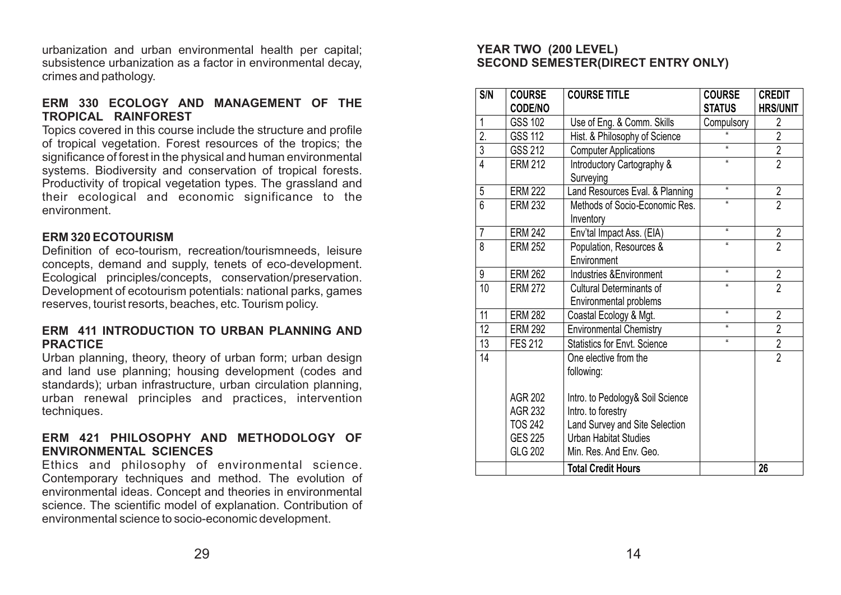urbanization and urban environmental health per capital; subsistence urbanization as a factor in environmental decay, crimes and pathology.

# **ERM 330 ECOLOGY AND MANAGEMENT OF THE TROPICAL RAINFOREST**

Topics covered in this course include the structure and profile of tropical vegetation. Forest resources of the tropics; the significance of forest in the physical and human environmental systems. Biodiversity and conservation of tropical forests. Productivity of tropical vegetation types. The grassland and their ecological and economic significance to the environment.

# **ERM 320 ECOTOURISM**

Definition of eco-tourism, recreation/tourismneeds, leisure concepts, demand and supply, tenets of eco-development. Ecological principles/concepts, conservation/preservation. Development of ecotourism potentials: national parks, games reserves, tourist resorts, beaches, etc. Tourism policy.

# **ERM 411 INTRODUCTION TO URBAN PLANNING AND PRACTICE**

Urban planning, theory, theory of urban form; urban design and land use planning; housing development (codes and standards); urban infrastructure, urban circulation planning, urban renewal principles and practices, intervention techniques.

# **ERM 421 PHILOSOPHY AND METHODOLOGY OF ENVIRONMENTAL SCIENCES**

Ethics and philosophy of environmental science. Contemporary techniques and method. The evolution of environmental ideas. Concept and theories in environmental science. The scientific model of explanation. Contribution of environmental science to socio-economic development.

# **YEAR TWO (200 LEVEL) SECOND SEMESTER(DIRECT ENTRY ONLY)**

| S/N            | <b>COURSE</b><br><b>CODE/NO</b> | <b>COURSE TITLE</b>                                       | <b>COURSE</b><br><b>STATUS</b> | <b>CREDIT</b><br><b>HRS/UNIT</b> |
|----------------|---------------------------------|-----------------------------------------------------------|--------------------------------|----------------------------------|
| 1              | <b>GSS 102</b>                  | Use of Eng. & Comm. Skills                                | Compulsory                     | 2                                |
| 2.             | <b>GSS 112</b>                  | Hist. & Philosophy of Science                             |                                | $\overline{2}$                   |
| 3              | GSS 212                         | <b>Computer Applications</b>                              | $\mathbf{a}$                   | $\overline{2}$                   |
| $\overline{4}$ | <b>ERM 212</b>                  | Introductory Cartography &<br>Surveying                   | $\boldsymbol{\mu}$             | $\overline{2}$                   |
| 5              | <b>ERM 222</b>                  | Land Resources Eval. & Planning                           | $\boldsymbol{\mu}$             | $\overline{2}$                   |
| $6\phantom{a}$ | <b>ERM 232</b>                  | Methods of Socio-Economic Res.<br>Inventory               | íí.                            | $\overline{2}$                   |
| 7              | <b>ERM 242</b>                  | Env'tal Impact Ass. (EIA)                                 | $\alpha$                       | $\overline{\mathbf{c}}$          |
| 8              | <b>ERM 252</b>                  | Population, Resources &<br>Environment                    | $\mathbf{a}$                   | $\overline{2}$                   |
| 9              | <b>ERM 262</b>                  | Industries & Environment                                  | $\boldsymbol{\mu}$             | $\overline{2}$                   |
| 10             | <b>ERM 272</b>                  | <b>Cultural Determinants of</b><br>Environmental problems | íí.                            | $\overline{2}$                   |
| 11             | <b>ERM 282</b>                  | Coastal Ecology & Mgt.                                    | $\mathbf{u}$                   | $\overline{2}$                   |
| 12             | <b>ERM 292</b>                  | <b>Environmental Chemistry</b>                            | íí.                            | $\overline{2}$                   |
| 13             | <b>FES 212</b>                  | <b>Statistics for Envt. Science</b>                       | $\boldsymbol{\mathfrak{g}}$    | $\overline{2}$                   |
| 14             |                                 | One elective from the<br>following:                       |                                | $\overline{2}$                   |
|                | <b>AGR 202</b>                  | Intro. to Pedology& Soil Science                          |                                |                                  |
|                | <b>AGR 232</b>                  | Intro. to forestry                                        |                                |                                  |
|                | <b>TOS 242</b>                  | Land Survey and Site Selection                            |                                |                                  |
|                | <b>GES 225</b>                  | <b>Urban Habitat Studies</b>                              |                                |                                  |
|                | <b>GLG 202</b>                  | Min. Res. And Env. Geo.                                   |                                |                                  |
|                |                                 | <b>Total Credit Hours</b>                                 |                                | 26                               |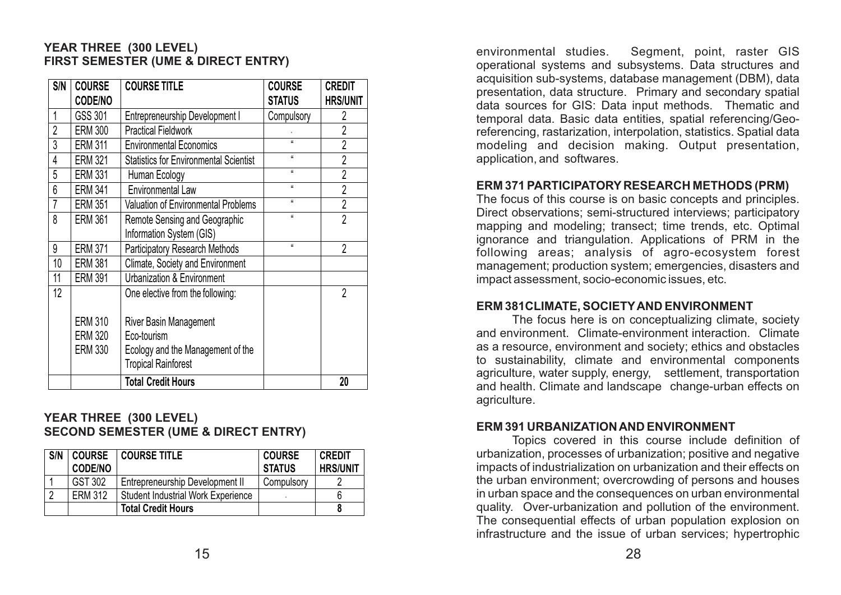# **YEAR THREE (300 LEVEL) FIRST SEMESTER (UME & DIRECT ENTRY)**

| S/N            | <b>COURSE</b><br>CODE/NO                           | <b>COURSE TITLE</b>                                                                                      | <b>COURSE</b><br><b>STATUS</b> | <b>CREDIT</b><br><b>HRS/UNIT</b> |
|----------------|----------------------------------------------------|----------------------------------------------------------------------------------------------------------|--------------------------------|----------------------------------|
| 1              | GSS 301                                            | Entrepreneurship Development I                                                                           | Compulsory                     | 2                                |
| $\overline{2}$ | <b>ERM 300</b>                                     | <b>Practical Fieldwork</b>                                                                               |                                | $\overline{2}$                   |
| 3              | <b>ERM 311</b>                                     | <b>Environmental Economics</b>                                                                           |                                | $\overline{2}$                   |
| 4              | <b>ERM 321</b>                                     | <b>Statistics for Environmental Scientist</b>                                                            | $\mathbf{u}$                   | $\overline{2}$                   |
| 5              | <b>ERM 331</b>                                     | Human Ecology                                                                                            | $\mathbf{u}$                   | $\overline{2}$                   |
| 6              | <b>ERM 341</b>                                     | <b>Environmental Law</b>                                                                                 | $\mathbf{u}$                   | $\overline{2}$                   |
| $\overline{7}$ | <b>ERM 351</b>                                     | <b>Valuation of Environmental Problems</b>                                                               | $\mathbf{u}$                   | $\overline{2}$                   |
| 8              | <b>ERM 361</b>                                     | Remote Sensing and Geographic<br>Information System (GIS)                                                | $\mathbf{u}$                   | $\overline{2}$                   |
| 9              | <b>ERM 371</b>                                     | <b>Participatory Research Methods</b>                                                                    | $\mathbf{u}$                   | $\overline{2}$                   |
| 10             | <b>ERM 381</b>                                     | Climate, Society and Environment                                                                         |                                |                                  |
| 11             | <b>ERM 391</b>                                     | <b>Urbanization &amp; Environment</b>                                                                    |                                |                                  |
| 12             |                                                    | One elective from the following:                                                                         |                                | 2                                |
|                | <b>ERM 310</b><br><b>ERM 320</b><br><b>ERM 330</b> | River Basin Management<br>Eco-tourism<br>Ecology and the Management of the<br><b>Tropical Rainforest</b> |                                |                                  |
|                |                                                    | <b>Total Credit Hours</b>                                                                                |                                | 20                               |

# **YEAR THREE (300 LEVEL) SECOND SEMESTER (UME & DIRECT ENTRY)**

| S/N | <b>COURSE</b><br><b>CODE/NO</b> | <b>COURSE TITLE</b>                       | <b>COURSE</b><br><b>STATUS</b> | <b>CREDIT</b><br><b>HRS/UNIT</b> |
|-----|---------------------------------|-------------------------------------------|--------------------------------|----------------------------------|
|     | GST 302                         | Entrepreneurship Development II           | Compulsory                     |                                  |
|     | <b>ERM 312</b>                  | <b>Student Industrial Work Experience</b> |                                |                                  |
|     |                                 | <b>Total Credit Hours</b>                 |                                |                                  |

environmental studies. Segment, point, raster GIS operational systems and subsystems. Data structures and acquisition sub-systems, database management (DBM), data presentation, data structure. Primary and secondary spatial data sources for GIS: Data input methods. Thematic and temporal data. Basic data entities, spatial referencing/Georeferencing, rastarization, interpolation, statistics. Spatial data modeling and decision making. Output presentation, application, and softwares.

# **ERM 371 PARTICIPATORY RESEARCH METHODS (PRM)**

The focus of this course is on basic concepts and principles. Direct observations; semi-structured interviews; participatory mapping and modeling; transect; time trends, etc. Optimal ignorance and triangulation. Applications of PRM in the following areas; analysis of agro-ecosystem forest management; production system; emergencies, disasters and impact assessment, socio-economic issues, etc.

### **ERM 381CLIMATE, SOCIETYAND ENVIRONMENT**

The focus here is on conceptualizing climate, society and environment. Climate-environment interaction. Climate as a resource, environment and society; ethics and obstacles to sustainability, climate and environmental components agriculture, water supply, energy, settlement, transportation and health. Climate and landscape change-urban effects on agriculture.

# **ERM 391 URBANIZATION AND ENVIRONMENT**

Topics covered in this course include definition of urbanization, processes of urbanization; positive and negative impacts of industrialization on urbanization and their effects on the urban environment; overcrowding of persons and houses in urban space and the consequences on urban environmental quality. Over-urbanization and pollution of the environment. The consequential effects of urban population explosion on infrastructure and the issue of urban services; hypertrophic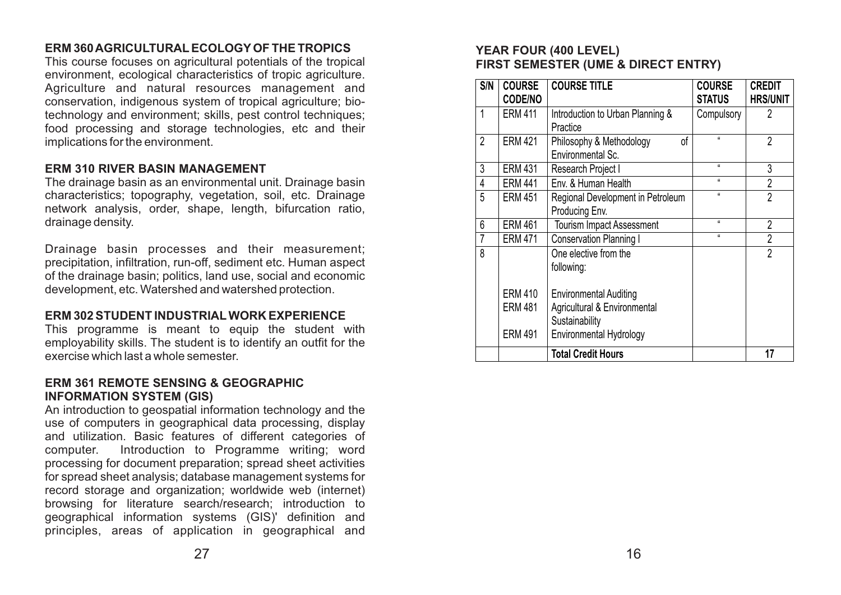# **ERM 360 AGRICULTURALECOLOGYOF THE TROPICS**

This course focuses on agricultural potentials of the tropical environment, ecological characteristics of tropic agriculture. Agriculture and natural resources management and conservation, indigenous system of tropical agriculture; biotechnology and environment; skills, pest control techniques; food processing and storage technologies, etc and their implications for the environment.

# **ERM 310 RIVER BASIN MANAGEMENT**

The drainage basin as an environmental unit. Drainage basin characteristics; topography, vegetation, soil, etc. Drainage network analysis, order, shape, length, bifurcation ratio, drainage density.

Drainage basin processes and their measurement; precipitation, infiltration, run-off, sediment etc. Human aspect of the drainage basin; politics, land use, social and economic development, etc. Watershed and watershed protection.

# **ERM 302 STUDENT INDUSTRIALWORK EXPERIENCE**

This programme is meant to equip the student with employability skills. The student is to identify an outfit for the exercise which last a whole semester.

# **ERM 361 REMOTE SENSING & GEOGRAPHIC INFORMATION SYSTEM (GIS)**

An introduction to geospatial information technology and the use of computers in geographical data processing, display and utilization. Basic features of different categories of computer. Introduction to Programme writing; word processing for document preparation; spread sheet activities for spread sheet analysis; database management systems for record storage and organization; worldwide web (internet) browsing for literature search/research; introduction to geographical information systems (GIS)' definition and principles, areas of application in geographical and

# **YEAR FOUR (400 LEVEL) FIRST SEMESTER (UME & DIRECT ENTRY)**

| S/N            | <b>COURSE</b><br><b>CODE/NO</b>  | <b>COURSE TITLE</b>                                                       | <b>COURSE</b><br><b>STATUS</b> | <b>CREDIT</b><br><b>HRS/UNIT</b> |
|----------------|----------------------------------|---------------------------------------------------------------------------|--------------------------------|----------------------------------|
| 1              | <b>ERM 411</b>                   | Introduction to Urban Planning &<br>Practice                              | Compulsory                     | 2                                |
| $\overline{2}$ | <b>ERM 421</b>                   | Philosophy & Methodology<br>οf<br><b>Environmental Sc.</b>                | $\mathbf{u}$                   | $\overline{2}$                   |
| 3              | <b>ERM 431</b>                   | Research Project I                                                        | a.                             | 3                                |
| 4              | <b>ERM 441</b>                   | Env. & Human Health                                                       | $\alpha$                       | $\overline{2}$                   |
| 5              | <b>ERM 451</b>                   | Regional Development in Petroleum<br>Producing Env.                       | a.                             | $\overline{2}$                   |
| 6              | <b>ERM 461</b>                   | <b>Tourism Impact Assessment</b>                                          | $\alpha$                       | $\overline{2}$                   |
| $\overline{7}$ | <b>ERM 471</b>                   | <b>Conservation Planning I</b>                                            | $\alpha$                       | $\overline{2}$                   |
| 8              | <b>ERM 410</b>                   | One elective from the<br>following:<br><b>Environmental Auditing</b>      |                                | $\overline{2}$                   |
|                | <b>ERM 481</b><br><b>ERM 491</b> | Agricultural & Environmental<br>Sustainability<br>Environmental Hydrology |                                |                                  |
|                |                                  | <b>Total Credit Hours</b>                                                 |                                | 17                               |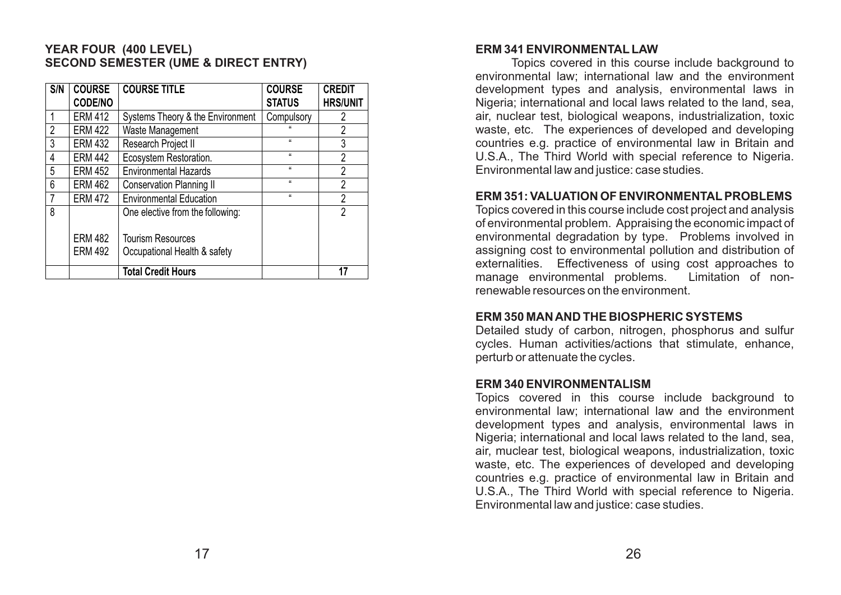# **YEAR FOUR (400 LEVEL) SECOND SEMESTER (UME & DIRECT ENTRY)**

| S/N | <b>COURSE</b><br><b>CODE/NO</b> | <b>COURSE TITLE</b>              | <b>COURSE</b><br><b>STATUS</b> | <b>CREDIT</b><br><b>HRS/UNIT</b> |
|-----|---------------------------------|----------------------------------|--------------------------------|----------------------------------|
|     | <b>ERM 412</b>                  | Systems Theory & the Environment | Compulsory                     | 2                                |
| 2   | <b>ERM 422</b>                  | Waste Management                 |                                | $\overline{2}$                   |
| 3   | <b>ERM 432</b>                  | Research Project II              | $\mathbf{u}$                   | 3                                |
| 4   | <b>ERM 442</b>                  | Ecosystem Restoration.           | $\mathbf{u}$                   | $\overline{2}$                   |
| 5   | <b>ERM 452</b>                  | <b>Environmental Hazards</b>     | $\mathbf{u}$                   | 2                                |
| 6   | <b>ERM 462</b>                  | <b>Conservation Planning II</b>  | $\mathbf{u}$                   | $\overline{2}$                   |
|     | <b>ERM 472</b>                  | <b>Environmental Education</b>   | $\mathbf{u}$                   | $\overline{2}$                   |
| 8   |                                 | One elective from the following: |                                | 2                                |
|     | <b>ERM 482</b>                  | <b>Tourism Resources</b>         |                                |                                  |
|     | <b>ERM 492</b>                  | Occupational Health & safety     |                                |                                  |
|     |                                 | <b>Total Credit Hours</b>        |                                | 17                               |

#### **ERM 341 ENVIRONMENTAL LAW**

Topics covered in this course include background to environmental law; international law and the environment development types and analysis, environmental laws in Nigeria; international and local laws related to the land, sea, air, nuclear test, biological weapons, industrialization, toxic waste, etc. The experiences of developed and developing countries e.g. practice of environmental law in Britain and U.S.A., The Third World with special reference to Nigeria. Environmental law and justice: case studies.

#### **ERM 351: VALUATION OF ENVIRONMENTALPROBLEMS**

Topics covered in this course include cost project and analysis of environmental problem. Appraising the economic impact of environmental degradation by type. Problems involved in assigning cost to environmental pollution and distribution of externalities. Effectiveness of using cost approaches to<br>manage environmental problems. Limitation of nonmanage environmental problems. renewable resources on the environment.

### **ERM 350 MAN AND THE BIOSPHERIC SYSTEMS**

Detailed study of carbon, nitrogen, phosphorus and sulfur cycles. Human activities/actions that stimulate, enhance, perturb or attenuate the cycles.

### **ERM 340 ENVIRONMENTALISM**

Topics covered in this course include background to environmental law; international law and the environment development types and analysis, environmental laws in Nigeria; international and local laws related to the land, sea, air, muclear test, biological weapons, industrialization, toxic waste, etc. The experiences of developed and developing countries e.g. practice of environmental law in Britain and U.S.A., The Third World with special reference to Nigeria. Environmental law and justice: case studies.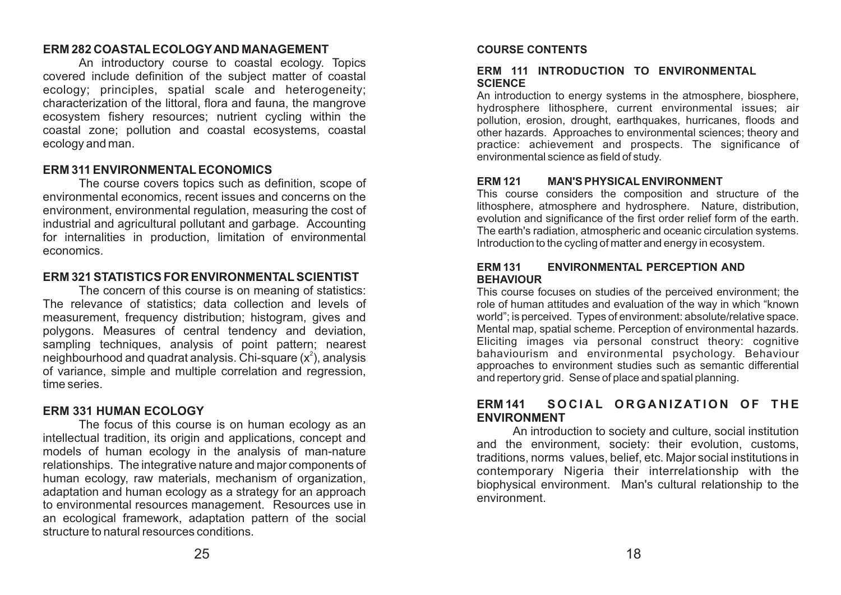#### **ERM 282 COASTALECOLOGYAND MANAGEMENT**

An introductory course to coastal ecology. Topics covered include definition of the subject matter of coastal ecology; principles, spatial scale and heterogeneity; characterization of the littoral, flora and fauna, the mangrove ecosystem fishery resources; nutrient cycling within the coastal zone; pollution and coastal ecosystems, coastal ecology and man.

# **ERM 311 ENVIRONMENTALECONOMICS**

The course covers topics such as definition, scope of environmental economics, recent issues and concerns on the environment, environmental regulation, measuring the cost of industrial and agricultural pollutant and garbage. Accounting for internalities in production, limitation of environmental economics.

# **ERM 321 STATISTICS FOR ENVIRONMENTALSCIENTIST**

The concern of this course is on meaning of statistics: The relevance of statistics; data collection and levels of measurement, frequency distribution; histogram, gives and polygons. Measures of central tendency and deviation, sampling techniques, analysis of point pattern; nearest neighbourhood and quadrat analysis. Chi-square  $(x^2)$ , analysis of variance, simple and multiple correlation and regression, time series.

# **ERM 331 HUMAN ECOLOGY**

The focus of this course is on human ecology as an intellectual tradition, its origin and applications, concept and models of human ecology in the analysis of man-nature relationships. The integrative nature and major components of human ecology, raw materials, mechanism of organization, adaptation and human ecology as a strategy for an approach to environmental resources management. Resources use in an ecological framework, adaptation pattern of the social structure to natural resources conditions.

### **COURSE CONTENTS**

#### **ERM 111 INTRODUCTION TO ENVIRONMENTAL SCIENCE**

An introduction to energy systems in the atmosphere, biosphere, hydrosphere lithosphere, current environmental issues; air pollution, erosion, drought, earthquakes, hurricanes, floods and other hazards. Approaches to environmental sciences; theory and practice: achievement and prospects. The significance of environmental science as field of study.

#### **ERM 121 MAN'S PHYSICALENVIRONMENT**

This course considers the composition and structure of the lithosphere, atmosphere and hydrosphere. Nature, distribution, evolution and significance of the first order relief form of the earth. The earth's radiation, atmospheric and oceanic circulation systems. Introduction to the cycling of matter and energy in ecosystem.

#### **ERM 131 ENVIRONMENTAL PERCEPTION AND BEHAVIOUR**

This course focuses on studies of the perceived environment; the role of human attitudes and evaluation of the way in which "known world"; is perceived. Types of environment: absolute/relative space. Mental map, spatial scheme. Perception of environmental hazards. Eliciting images via personal construct theory: cognitive bahaviourism and environmental psychology. Behaviour approaches to environment studies such as semantic differential and repertory grid. Sense of place and spatial planning.

# **ERM 141 S O C I A L O R G A N I Z AT I O N O F T H E ENVIRONMENT**

An introduction to society and culture, social institution and the environment, society: their evolution, customs, traditions, norms values, belief, etc. Major social institutions in contemporary Nigeria their interrelationship with the biophysical environment. Man's cultural relationship to the environment.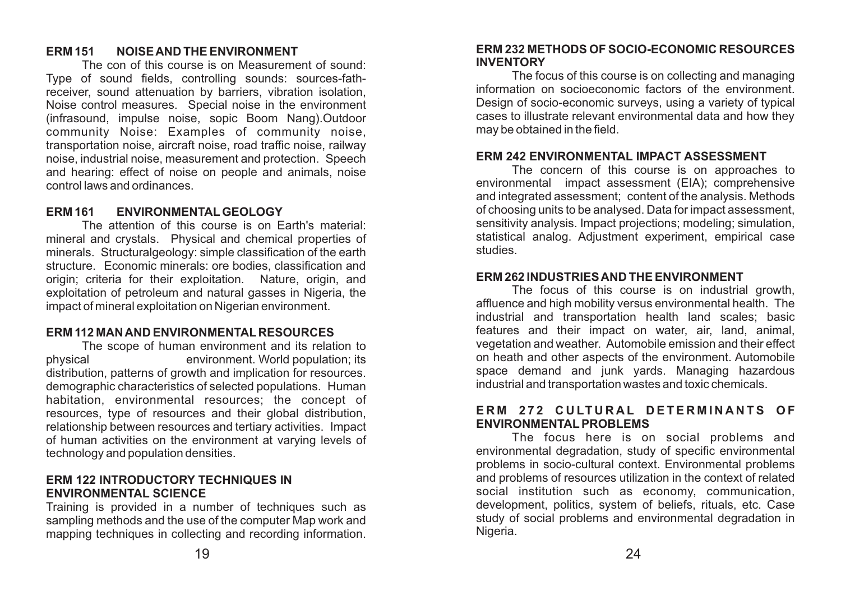# **ERM 151 NOISE AND THE ENVIRONMENT**

The con of this course is on Measurement of sound: Type of sound fields, controlling sounds: sources-fathreceiver, sound attenuation by barriers, vibration isolation, Noise control measures. Special noise in the environment (infrasound, impulse noise, sopic Boom Nang).Outdoor community Noise: Examples of community noise, transportation noise, aircraft noise, road traffic noise, railway noise, industrial noise, measurement and protection. Speech and hearing: effect of noise on people and animals, noise control laws and ordinances.

#### **ERM 161 ENVIRONMENTALGEOLOGY**

The attention of this course is on Earth's material: mineral and crystals. Physical and chemical properties of minerals. Structuralgeology: simple classification of the earth structure. Economic minerals: ore bodies, classification and origin; criteria for their exploitation. Nature, origin, and exploitation of petroleum and natural gasses in Nigeria, the impact of mineral exploitation on Nigerian environment.

#### **ERM 112 MAN AND ENVIRONMENTAL RESOURCES**

The scope of human environment and its relation to physical environment. World population; its distribution, patterns of growth and implication for resources. demographic characteristics of selected populations. Human habitation, environmental resources; the concept of resources, type of resources and their global distribution, relationship between resources and tertiary activities. Impact of human activities on the environment at varying levels of technology and population densities.

#### **ERM 122 INTRODUCTORY TECHNIQUES IN ENVIRONMENTAL SCIENCE**

Training is provided in a number of techniques such as sampling methods and the use of the computer Map work and mapping techniques in collecting and recording information.

#### **ERM 232 METHODS OF SOCIO-ECONOMIC RESOURCES INVENTORY**

The focus of this course is on collecting and managing information on socioeconomic factors of the environment. Design of socio-economic surveys, using a variety of typical cases to illustrate relevant environmental data and how they may be obtained in the field.

#### **ERM 242 ENVIRONMENTAL IMPACT ASSESSMENT**

The concern of this course is on approaches to environmental impact assessment (EIA); comprehensive and integrated assessment; content of the analysis. Methods of choosing units to be analysed. Data for impact assessment, sensitivity analysis. Impact projections; modeling; simulation, statistical analog. Adjustment experiment, empirical case studies.

### **ERM 262 INDUSTRIES AND THE ENVIRONMENT**

The focus of this course is on industrial growth, affluence and high mobility versus environmental health. The industrial and transportation health land scales; basic features and their impact on water, air, land, animal, vegetation and weather. Automobile emission and their effect on heath and other aspects of the environment. Automobile space demand and junk yards. Managing hazardous industrial and transportation wastes and toxic chemicals.

### ERM 272 CULTURAL DETERMINANTS OF **ENVIRONMENTALPROBLEMS**

The focus here is on social problems and environmental degradation, study of specific environmental problems in socio-cultural context. Environmental problems and problems of resources utilization in the context of related social institution such as economy, communication, development, politics, system of beliefs, rituals, etc. Case study of social problems and environmental degradation in Nigeria.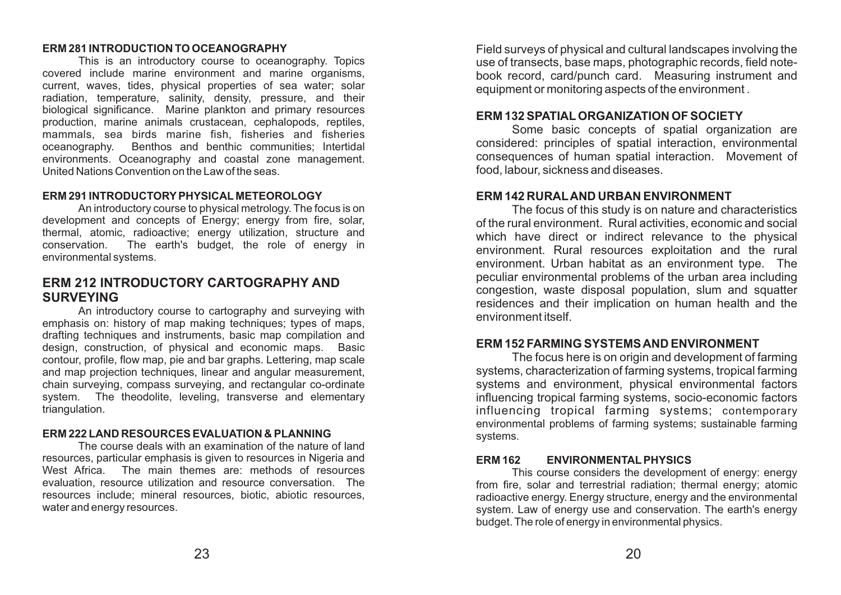#### **ERM 281 INTRODUCTION TO OCEANOGRAPHY**

This is an introductory course to oceanography. Topics covered include marine environment and marine organisms, current, waves, tides, physical properties of sea water; solar radiation, temperature, salinity, density, pressure, and their biological significance. Marine plankton and primary resources production, marine animals crustacean, cephalopods, reptiles, mammals, sea birds marine fish, fisheries and fisheries oceanography. Benthos and benthic communities; Intertidal environments. Oceanography and coastal zone management. United Nations Convention on the Law of the seas.

#### **ERM 291 INTRODUCTORYPHYSICAL METEOROLOGY**

An introductory course to physical metrology. The focus is on development and concepts of Energy; energy from fire, solar, thermal, atomic, radioactive; energy utilization, structure and conservation. The earth's budget, the role of energy in environmental systems.

# **ERM 212 INTRODUCTORY CARTOGRAPHY AND SURVEYING**

An introductory course to cartography and surveying with emphasis on: history of map making techniques; types of maps, drafting techniques and instruments, basic map compilation and design, construction, of physical and economic maps. Basic contour, profile, flow map, pie and bar graphs. Lettering, map scale and map projection techniques, linear and angular measurement, chain surveying, compass surveying, and rectangular co-ordinate system. The theodolite, leveling, transverse and elementary triangulation.

### **ERM 222 LAND RESOURCES EVALUATION & PLANNING**

The course deals with an examination of the nature of land resources, particular emphasis is given to resources in Nigeria and West Africa. The main themes are: methods of resources evaluation, resource utilization and resource conversation. The resources include; mineral resources, biotic, abiotic resources, water and energy resources.

Field surveys of physical and cultural landscapes involving the use of transects, base maps, photographic records, field notebook record, card/punch card. Measuring instrument and equipment or monitoring aspects of the environment .

# **ERM 132 SPATIALORGANIZATION OF SOCIETY**

Some basic concepts of spatial organization are considered: principles of spatial interaction, environmental consequences of human spatial interaction. Movement of food, labour, sickness and diseases.

# **ERM 142 RURALAND URBAN ENVIRONMENT**

The focus of this study is on nature and characteristics of the rural environment. Rural activities, economic and social which have direct or indirect relevance to the physical environment. Rural resources exploitation and the rural environment. Urban habitat as an environment type. The peculiar environmental problems of the urban area including congestion, waste disposal population, slum and squatter residences and their implication on human health and the environment itself.

### **ERM 152 FARMING SYSTEMS AND ENVIRONMENT**

The focus here is on origin and development of farming systems, characterization of farming systems, tropical farming systems and environment, physical environmental factors influencing tropical farming systems, socio-economic factors influencing tropical farming systems; contemporary environmental problems of farming systems; sustainable farming systems.

# **ERM 162 ENVIRONMENTALPHYSICS**

This course considers the development of energy: energy from fire, solar and terrestrial radiation; thermal energy; atomic radioactive energy. Energy structure, energy and the environmental system. Law of energy use and conservation. The earth's energy budget. The role of energy in environmental physics.